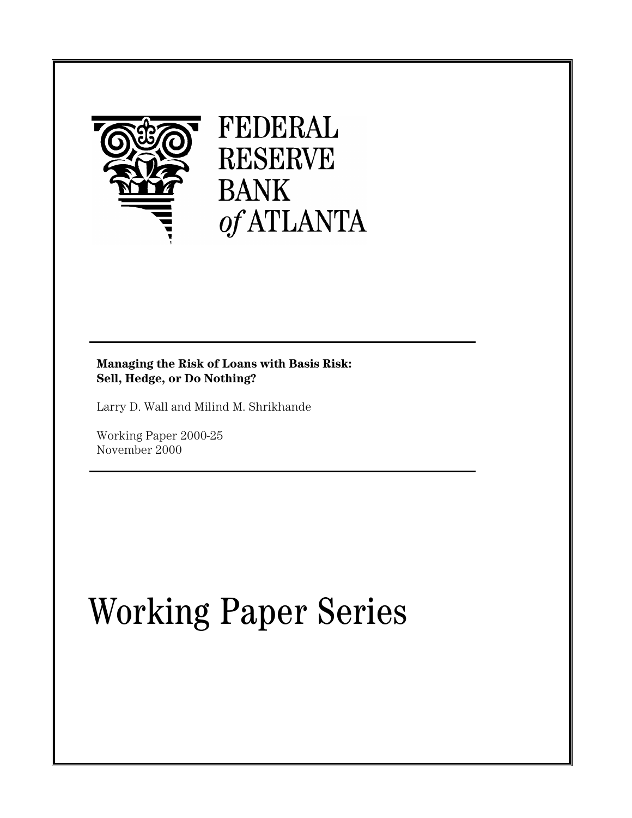

# FEDERAL **RESERVE BANK** of ATLANTA

# **Managing the Risk of Loans with Basis Risk: Sell, Hedge, or Do Nothing?**

Larry D. Wall and Milind M. Shrikhande

Working Paper 2000-25 November 2000

# Working Paper Series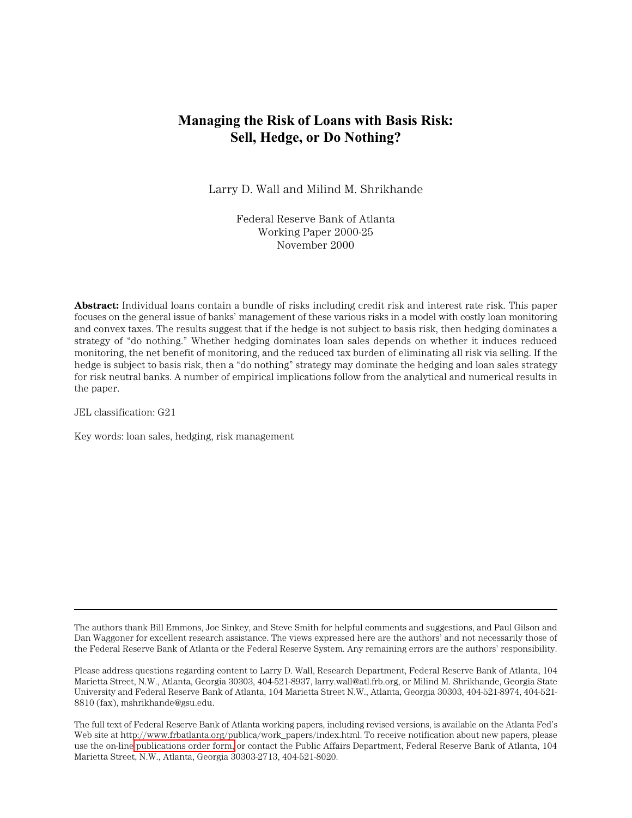# **Managing the Risk of Loans with Basis Risk: Sell, Hedge, or Do Nothing?**

Larry D. Wall and Milind M. Shrikhande

Federal Reserve Bank of Atlanta Working Paper 2000-25 November 2000

**Abstract:** Individual loans contain a bundle of risks including credit risk and interest rate risk. This paper focuses on the general issue of banks' management of these various risks in a model with costly loan monitoring and convex taxes. The results suggest that if the hedge is not subject to basis risk, then hedging dominates a strategy of "do nothing." Whether hedging dominates loan sales depends on whether it induces reduced monitoring, the net benefit of monitoring, and the reduced tax burden of eliminating all risk via selling. If the hedge is subject to basis risk, then a "do nothing" strategy may dominate the hedging and loan sales strategy for risk neutral banks. A number of empirical implications follow from the analytical and numerical results in the paper.

JEL classification: G21

Key words: loan sales, hedging, risk management

The authors thank Bill Emmons, Joe Sinkey, and Steve Smith for helpful comments and suggestions, and Paul Gilson and Dan Waggoner for excellent research assistance. The views expressed here are the authors' and not necessarily those of the Federal Reserve Bank of Atlanta or the Federal Reserve System. Any remaining errors are the authors' responsibility.

Please address questions regarding content to Larry D. Wall, Research Department, Federal Reserve Bank of Atlanta, 104 Marietta Street, N.W., Atlanta, Georgia 30303, 404-521-8937, larry.wall@atl.frb.org, or Milind M. Shrikhande, Georgia State University and Federal Reserve Bank of Atlanta, 104 Marietta Street N.W., Atlanta, Georgia 30303, 404-521-8974, 404-521- 8810 (fax), mshrikhande@gsu.edu.

The full text of Federal Reserve Bank of Atlanta working papers, including revised versions, is available on the Atlanta Fed's Web site at http://www.frbatlanta.org/publica/work\_papers/index.html. To receive notification about new papers, please use the on-line [publications order form,](http://www.frbatlanta.org/publica/ordform.cfm) or contact the Public Affairs Department, Federal Reserve Bank of Atlanta, 104 Marietta Street, N.W., Atlanta, Georgia 30303-2713, 404-521-8020.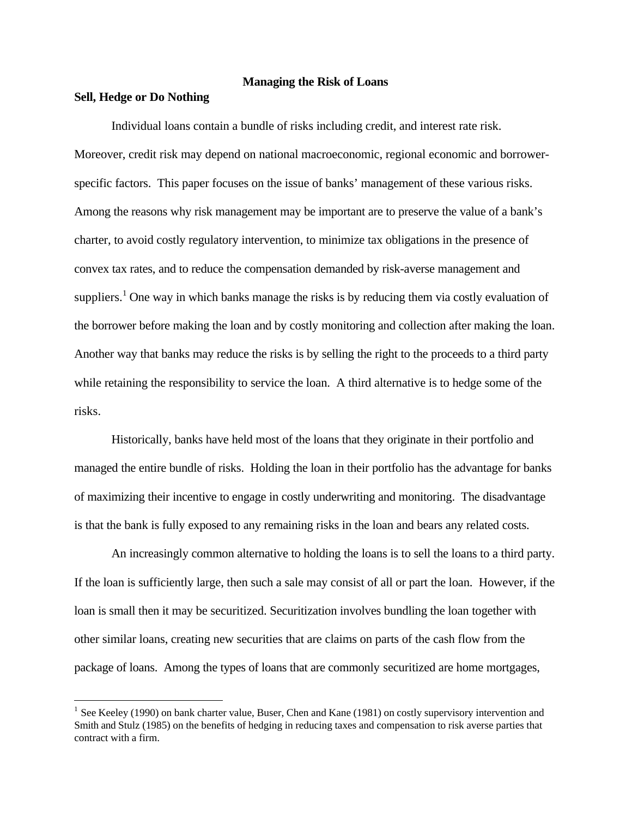#### **Managing the Risk of Loans**

## **Sell, Hedge or Do Nothing**

 $\overline{a}$ 

Individual loans contain a bundle of risks including credit, and interest rate risk. Moreover, credit risk may depend on national macroeconomic, regional economic and borrowerspecific factors. This paper focuses on the issue of banks' management of these various risks. Among the reasons why risk management may be important are to preserve the value of a bank's charter, to avoid costly regulatory intervention, to minimize tax obligations in the presence of convex tax rates, and to reduce the compensation demanded by risk-averse management and suppliers.<sup>1</sup> One way in which banks manage the risks is by reducing them via costly evaluation of the borrower before making the loan and by costly monitoring and collection after making the loan. Another way that banks may reduce the risks is by selling the right to the proceeds to a third party while retaining the responsibility to service the loan. A third alternative is to hedge some of the risks.

Historically, banks have held most of the loans that they originate in their portfolio and managed the entire bundle of risks. Holding the loan in their portfolio has the advantage for banks of maximizing their incentive to engage in costly underwriting and monitoring. The disadvantage is that the bank is fully exposed to any remaining risks in the loan and bears any related costs.

An increasingly common alternative to holding the loans is to sell the loans to a third party. If the loan is sufficiently large, then such a sale may consist of all or part the loan. However, if the loan is small then it may be securitized. Securitization involves bundling the loan together with other similar loans, creating new securities that are claims on parts of the cash flow from the package of loans. Among the types of loans that are commonly securitized are home mortgages,

<sup>&</sup>lt;sup>1</sup> See Keeley (1990) on bank charter value, Buser, Chen and Kane (1981) on costly supervisory intervention and Smith and Stulz (1985) on the benefits of hedging in reducing taxes and compensation to risk averse parties that contract with a firm.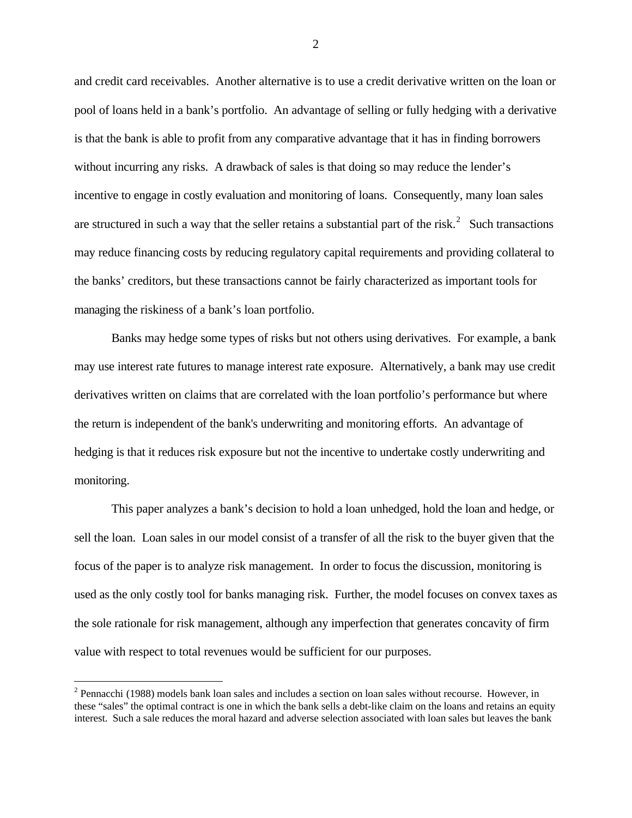and credit card receivables. Another alternative is to use a credit derivative written on the loan or pool of loans held in a bank's portfolio. An advantage of selling or fully hedging with a derivative is that the bank is able to profit from any comparative advantage that it has in finding borrowers without incurring any risks. A drawback of sales is that doing so may reduce the lender's incentive to engage in costly evaluation and monitoring of loans. Consequently, many loan sales are structured in such a way that the seller retains a substantial part of the risk.<sup>2</sup> Such transactions may reduce financing costs by reducing regulatory capital requirements and providing collateral to the banks' creditors, but these transactions cannot be fairly characterized as important tools for managing the riskiness of a bank's loan portfolio.

Banks may hedge some types of risks but not others using derivatives. For example, a bank may use interest rate futures to manage interest rate exposure. Alternatively, a bank may use credit derivatives written on claims that are correlated with the loan portfolio's performance but where the return is independent of the bank's underwriting and monitoring efforts. An advantage of hedging is that it reduces risk exposure but not the incentive to undertake costly underwriting and monitoring.

This paper analyzes a bank's decision to hold a loan unhedged, hold the loan and hedge, or sell the loan. Loan sales in our model consist of a transfer of all the risk to the buyer given that the focus of the paper is to analyze risk management. In order to focus the discussion, monitoring is used as the only costly tool for banks managing risk. Further, the model focuses on convex taxes as the sole rationale for risk management, although any imperfection that generates concavity of firm value with respect to total revenues would be sufficient for our purposes.

 $\overline{a}$ 

 $2$  Pennacchi (1988) models bank loan sales and includes a section on loan sales without recourse. However, in these "sales" the optimal contract is one in which the bank sells a debt-like claim on the loans and retains an equity interest. Such a sale reduces the moral hazard and adverse selection associated with loan sales but leaves the bank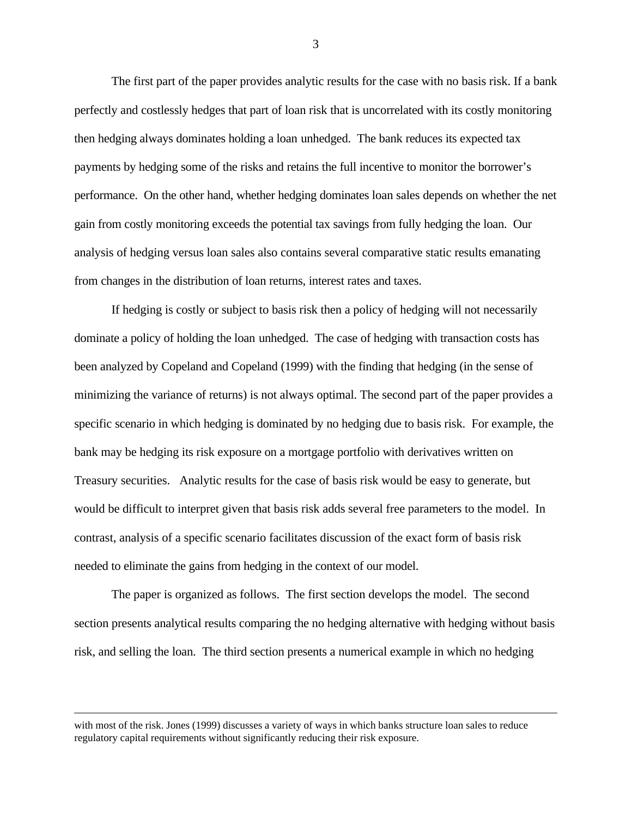The first part of the paper provides analytic results for the case with no basis risk. If a bank perfectly and costlessly hedges that part of loan risk that is uncorrelated with its costly monitoring then hedging always dominates holding a loan unhedged. The bank reduces its expected tax payments by hedging some of the risks and retains the full incentive to monitor the borrower's performance. On the other hand, whether hedging dominates loan sales depends on whether the net gain from costly monitoring exceeds the potential tax savings from fully hedging the loan. Our analysis of hedging versus loan sales also contains several comparative static results emanating from changes in the distribution of loan returns, interest rates and taxes.

If hedging is costly or subject to basis risk then a policy of hedging will not necessarily dominate a policy of holding the loan unhedged. The case of hedging with transaction costs has been analyzed by Copeland and Copeland (1999) with the finding that hedging (in the sense of minimizing the variance of returns) is not always optimal. The second part of the paper provides a specific scenario in which hedging is dominated by no hedging due to basis risk. For example, the bank may be hedging its risk exposure on a mortgage portfolio with derivatives written on Treasury securities. Analytic results for the case of basis risk would be easy to generate, but would be difficult to interpret given that basis risk adds several free parameters to the model. In contrast, analysis of a specific scenario facilitates discussion of the exact form of basis risk needed to eliminate the gains from hedging in the context of our model.

The paper is organized as follows. The first section develops the model. The second section presents analytical results comparing the no hedging alternative with hedging without basis risk, and selling the loan. The third section presents a numerical example in which no hedging

 $\overline{a}$ 

with most of the risk. Jones (1999) discusses a variety of ways in which banks structure loan sales to reduce regulatory capital requirements without significantly reducing their risk exposure.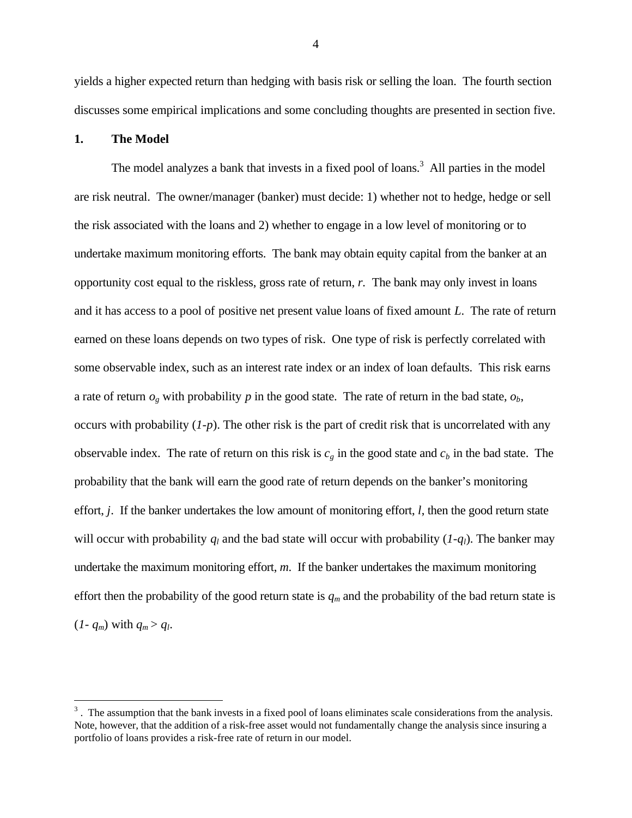yields a higher expected return than hedging with basis risk or selling the loan. The fourth section discusses some empirical implications and some concluding thoughts are presented in section five.

#### **1. The Model**

1

The model analyzes a bank that invests in a fixed pool of loans.<sup>3</sup> All parties in the model are risk neutral. The owner/manager (banker) must decide: 1) whether not to hedge, hedge or sell the risk associated with the loans and 2) whether to engage in a low level of monitoring or to undertake maximum monitoring efforts. The bank may obtain equity capital from the banker at an opportunity cost equal to the riskless, gross rate of return, *r.* The bank may only invest in loans and it has access to a pool of positive net present value loans of fixed amount *L*. The rate of return earned on these loans depends on two types of risk. One type of risk is perfectly correlated with some observable index, such as an interest rate index or an index of loan defaults. This risk earns a rate of return  $o_g$  with probability  $p$  in the good state. The rate of return in the bad state,  $o_b$ , occurs with probability (*1-p*). The other risk is the part of credit risk that is uncorrelated with any observable index. The rate of return on this risk is  $c<sub>g</sub>$  in the good state and  $c<sub>b</sub>$  in the bad state. The probability that the bank will earn the good rate of return depends on the banker's monitoring effort, *j*. If the banker undertakes the low amount of monitoring effort, *l*, then the good return state will occur with probability  $q_l$  and the bad state will occur with probability  $(I-q_l)$ . The banker may undertake the maximum monitoring effort, *m*. If the banker undertakes the maximum monitoring effort then the probability of the good return state is  $q_m$  and the probability of the bad return state is  $(1-q_m)$  with  $q_m > q_l$ .

 $3$ . The assumption that the bank invests in a fixed pool of loans eliminates scale considerations from the analysis. Note, however, that the addition of a risk-free asset would not fundamentally change the analysis since insuring a portfolio of loans provides a risk-free rate of return in our model.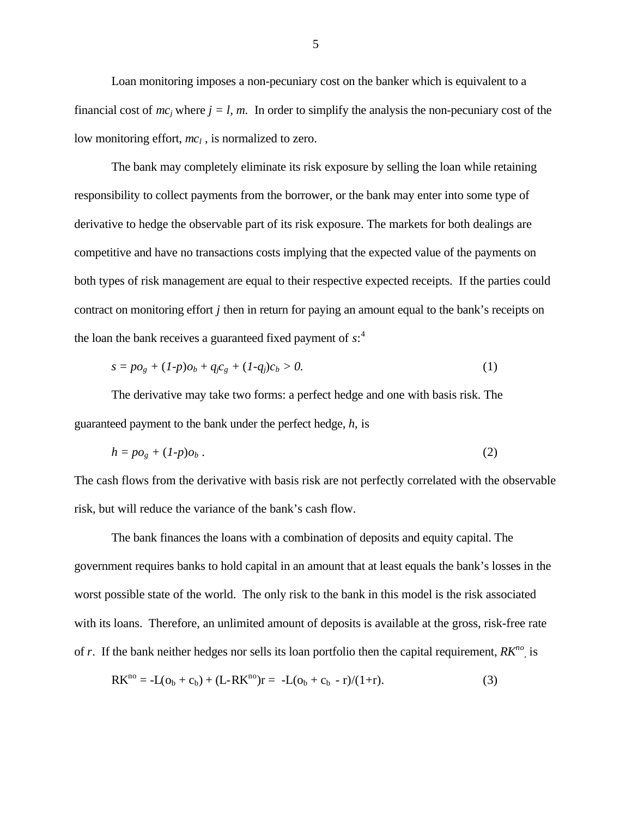Loan monitoring imposes a non-pecuniary cost on the banker which is equivalent to a financial cost of  $mc_j$  where  $j = l$ , m. In order to simplify the analysis the non-pecuniary cost of the low monitoring effort,  $mc_l$ , is normalized to zero.

The bank may completely eliminate its risk exposure by selling the loan while retaining responsibility to collect payments from the borrower, or the bank may enter into some type of derivative to hedge the observable part of its risk exposure. The markets for both dealings are competitive and have no transactions costs implying that the expected value of the payments on both types of risk management are equal to their respective expected receipts. If the parties could contract on monitoring effort *j* then in return for paying an amount equal to the bank's receipts on the loan the bank receives a guaranteed fixed payment of *s*: 4

$$
s = p\sigma_g + (1-p)\sigma_b + q_f c_g + (1-q_j)c_b > 0.
$$
 (1)

The derivative may take two forms: a perfect hedge and one with basis risk. The guaranteed payment to the bank under the perfect hedge, *h*, is

$$
h = p\sigma_g + (1-p)\sigma_b \tag{2}
$$

The cash flows from the derivative with basis risk are not perfectly correlated with the observable risk, but will reduce the variance of the bank's cash flow.

The bank finances the loans with a combination of deposits and equity capital. The government requires banks to hold capital in an amount that at least equals the bank's losses in the worst possible state of the world. The only risk to the bank in this model is the risk associated with its loans. Therefore, an unlimited amount of deposits is available at the gross, risk-free rate of *r*. If the bank neither hedges nor sells its loan portfolio then the capital requirement,  $RK^{n\sigma}$ , is

$$
RK^{no} = -L(o_b + c_b) + (L-RK^{no})r = -L(o_b + c_b - r)/(1+r).
$$
 (3)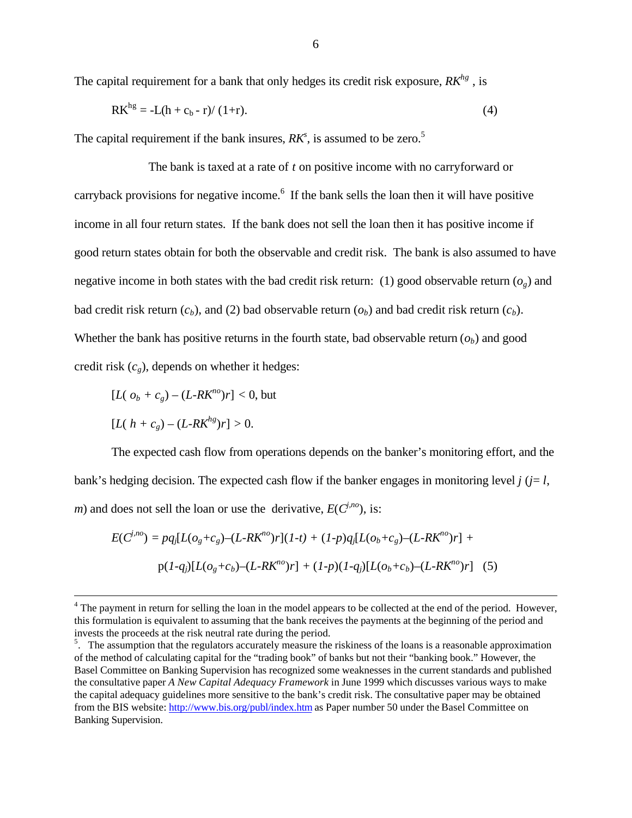The capital requirement for a bank that only hedges its credit risk exposure, *RKhg* , is

$$
RK^{hg} = -L(h + c_b - r)/(1+r).
$$
 (4)

The capital requirement if the bank insures,  $RK^s$ , is assumed to be zero.<sup>5</sup>

The bank is taxed at a rate of *t* on positive income with no carryforward or carryback provisions for negative income.<sup>6</sup> If the bank sells the loan then it will have positive income in all four return states. If the bank does not sell the loan then it has positive income if good return states obtain for both the observable and credit risk. The bank is also assumed to have negative income in both states with the bad credit risk return: (1) good observable return  $(o_g)$  and bad credit risk return  $(c_b)$ , and (2) bad observable return  $(o_b)$  and bad credit risk return  $(c_b)$ . Whether the bank has positive returns in the fourth state, bad observable return  $(o_b)$  and good credit risk  $(c_g)$ , depends on whether it hedges:

$$
[L(\,o_b + c_g) - (L \, R K^{no})r] < 0, \text{ but}
$$

$$
[L(h + c_g) - (L \cdot R K^{hg})r] > 0.
$$

 $\overline{a}$ 

The expected cash flow from operations depends on the banker's monitoring effort, and the bank's hedging decision. The expected cash flow if the banker engages in monitoring level  $j$  ( $j = l$ , *m*) and does not sell the loan or use the derivative,  $E(C^{j,n_0})$ , is:

$$
E(C^{j,no}) = pq_j[L(o_g + c_g) - (L-RK^{no})r](1-t) + (1-p)q_j[L(o_b + c_g) - (L-RK^{no})r] +
$$
  
 
$$
p(1-q_j)[L(o_g + c_b) - (L-RK^{no})r] + (1-p)(1-q_j)[L(o_b + c_b) - (L-RK^{no})r] \quad (5)
$$

 $4$  The payment in return for selling the loan in the model appears to be collected at the end of the period. However, this formulation is equivalent to assuming that the bank receives the payments at the beginning of the period and invests the proceeds at the risk neutral rate during the period.

<sup>&</sup>lt;sup>5</sup>. The assumption that the regulators accurately measure the riskiness of the loans is a reasonable approximation of the method of calculating capital for the "trading book" of banks but not their "banking book." However, the Basel Committee on Banking Supervision has recognized some weaknesses in the current standards and published the consultative paper *A New Capital Adequacy Framework* in June 1999 which discusses various ways to make the capital adequacy guidelines more sensitive to the bank's credit risk. The consultative paper may be obtained from the BIS website: http://www.bis.org/publ/index.htm as Paper number 50 under the Basel Committee on Banking Supervision.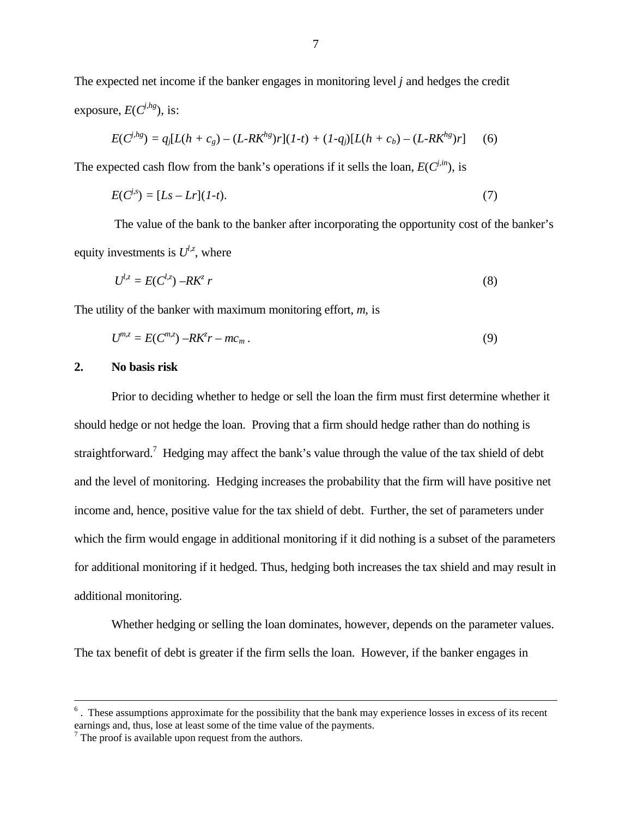The expected net income if the banker engages in monitoring level *j* and hedges the credit exposure,  $E(C^{j,hg})$ , is:

$$
E(C^{j,hg}) = q_j[L(h + c_g) - (L-RK^{hg})r](1-t) + (1-q_j)[L(h + c_b) - (L-RK^{hg})r] \tag{6}
$$

The expected cash flow from the bank's operations if it sells the loan,  $E(C^{j,in})$ , is

$$
E(C^{j,s}) = [Ls - Lr](1-t). \tag{7}
$$

 The value of the bank to the banker after incorporating the opportunity cost of the banker's equity investments is  $U^{l,z}$ , where

$$
U^{l,z} = E(C^{l,z}) - RK^z r \tag{8}
$$

The utility of the banker with maximum monitoring effort, *m*, is

$$
U^{m,z} = E(C^{m,z}) - R K^z r - m c_m.
$$
\n(9)

#### **2. No basis risk**

1

Prior to deciding whether to hedge or sell the loan the firm must first determine whether it should hedge or not hedge the loan. Proving that a firm should hedge rather than do nothing is straightforward.<sup>7</sup> Hedging may affect the bank's value through the value of the tax shield of debt and the level of monitoring. Hedging increases the probability that the firm will have positive net income and, hence, positive value for the tax shield of debt. Further, the set of parameters under which the firm would engage in additional monitoring if it did nothing is a subset of the parameters for additional monitoring if it hedged. Thus, hedging both increases the tax shield and may result in additional monitoring.

Whether hedging or selling the loan dominates, however, depends on the parameter values. The tax benefit of debt is greater if the firm sells the loan. However, if the banker engages in

 $<sup>6</sup>$ . These assumptions approximate for the possibility that the bank may experience losses in excess of its recent</sup> earnings and, thus, lose at least some of the time value of the payments.<br><sup>7</sup> The proof is available upon request from the authors.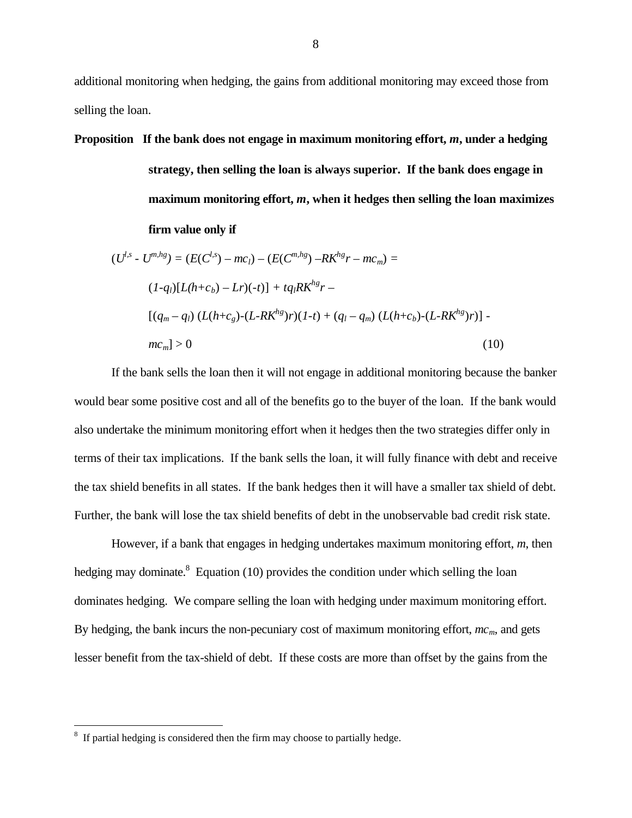additional monitoring when hedging, the gains from additional monitoring may exceed those from selling the loan.

**Proposition If the bank does not engage in maximum monitoring effort,** *m***, under a hedging**

**strategy, then selling the loan is always superior. If the bank does engage in maximum monitoring effort,** *m***, when it hedges then selling the loan maximizes firm value only if**

$$
(U^{l,s} - U^{m,hg}) = (E(C^{l,s}) - mc_l) - (E(C^{m,hg}) - RK^{hg}r - mc_m) =
$$
  
\n
$$
(1-q_l)[L(h+c_b) - Lr)(-t)] + tq_lRK^{hg}r -
$$
  
\n
$$
[(q_m - q_l) (L(h+c_g) - (L-RK^{hg})r)(1-t) + (q_l - q_m) (L(h+c_b) - (L-RK^{hg})r)] -
$$
  
\n
$$
mc_m] > 0
$$
\n(10)

If the bank sells the loan then it will not engage in additional monitoring because the banker would bear some positive cost and all of the benefits go to the buyer of the loan. If the bank would also undertake the minimum monitoring effort when it hedges then the two strategies differ only in terms of their tax implications. If the bank sells the loan, it will fully finance with debt and receive the tax shield benefits in all states. If the bank hedges then it will have a smaller tax shield of debt. Further, the bank will lose the tax shield benefits of debt in the unobservable bad credit risk state.

However, if a bank that engages in hedging undertakes maximum monitoring effort, *m*, then hedging may dominate.<sup>8</sup> Equation (10) provides the condition under which selling the loan dominates hedging. We compare selling the loan with hedging under maximum monitoring effort. By hedging, the bank incurs the non-pecuniary cost of maximum monitoring effort, *mcm*, and gets lesser benefit from the tax-shield of debt. If these costs are more than offset by the gains from the

 $8\,$  If partial hedging is considered then the firm may choose to partially hedge.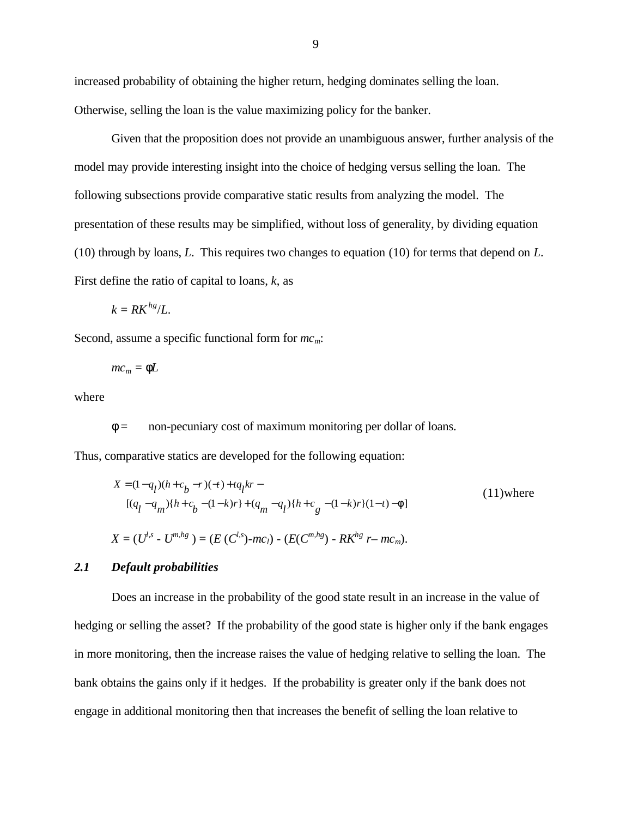increased probability of obtaining the higher return, hedging dominates selling the loan. Otherwise, selling the loan is the value maximizing policy for the banker.

Given that the proposition does not provide an unambiguous answer, further analysis of the model may provide interesting insight into the choice of hedging versus selling the loan. The following subsections provide comparative static results from analyzing the model. The presentation of these results may be simplified, without loss of generality, by dividing equation (10) through by loans, *L*. This requires two changes to equation (10) for terms that depend on *L*. First define the ratio of capital to loans, *k*, as

$$
k = R K^{hg}/L.
$$

Second, assume a specific functional form for *mcm*:

$$
mc_m = fL
$$

where

*f* = non-pecuniary cost of maximum monitoring per dollar of loans.

Thus, comparative statics are developed for the following equation:

$$
X = (1 - q_1)(h + c_b - r)(-t) + tq_1kr -
$$
  
\n
$$
[(q_1 - q_m)(h + c_b - (1 - k)r) + (q_m - q_1)(h + c_g - (1 - k)r)(1 - t) - f]
$$
  
\n
$$
X = (U^{l,s} - U^{m,hg}) = (E(C^{l,s}) - mc_l) - (E(C^{m,hg}) - RK^{hg} - mc_m).
$$
\n(11)

#### *2.1 Default probabilities*

Does an increase in the probability of the good state result in an increase in the value of hedging or selling the asset? If the probability of the good state is higher only if the bank engages in more monitoring, then the increase raises the value of hedging relative to selling the loan. The bank obtains the gains only if it hedges. If the probability is greater only if the bank does not engage in additional monitoring then that increases the benefit of selling the loan relative to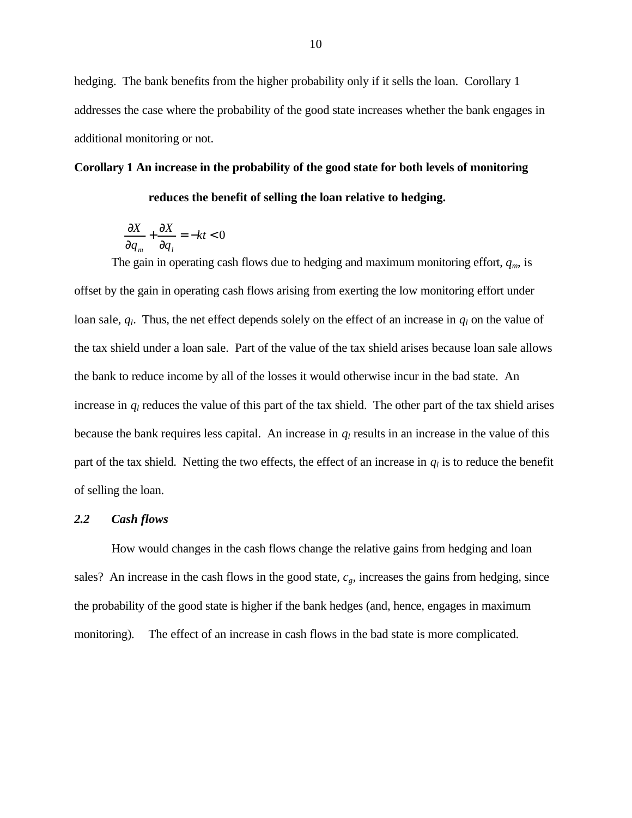hedging. The bank benefits from the higher probability only if it sells the loan. Corollary 1 addresses the case where the probability of the good state increases whether the bank engages in additional monitoring or not.

#### **Corollary 1 An increase in the probability of the good state for both levels of monitoring**

**reduces the benefit of selling the loan relative to hedging.**

$$
\frac{\partial X}{\partial q_m} + \frac{\partial X}{\partial q_l} = -kt < 0
$$

The gain in operating cash flows due to hedging and maximum monitoring effort, *qm*, is offset by the gain in operating cash flows arising from exerting the low monitoring effort under loan sale,  $q_l$ . Thus, the net effect depends solely on the effect of an increase in  $q_l$  on the value of the tax shield under a loan sale. Part of the value of the tax shield arises because loan sale allows the bank to reduce income by all of the losses it would otherwise incur in the bad state. An increase in  $q_l$  reduces the value of this part of the tax shield. The other part of the tax shield arises because the bank requires less capital. An increase in *q<sup>l</sup>* results in an increase in the value of this part of the tax shield. Netting the two effects, the effect of an increase in *q<sup>l</sup>* is to reduce the benefit of selling the loan.

#### *2.2 Cash flows*

How would changes in the cash flows change the relative gains from hedging and loan sales? An increase in the cash flows in the good state,  $c_g$ , increases the gains from hedging, since the probability of the good state is higher if the bank hedges (and, hence, engages in maximum monitoring). The effect of an increase in cash flows in the bad state is more complicated.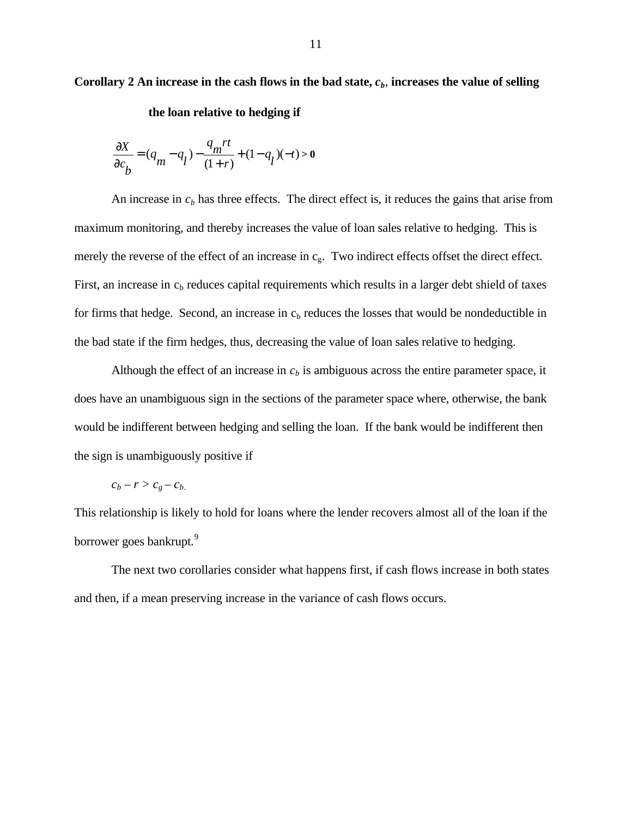**Corollary 2 An increase in the cash flows in the bad state,** *cb*, **increases the value of selling**

**the loan relative to hedging if**

$$
\frac{\partial X}{\partial c_b} = (q_m - q_l) - \frac{q_m r t}{(1+r)} + (1-q_l)(-t) > 0
$$

An increase in  $c<sub>b</sub>$  has three effects. The direct effect is, it reduces the gains that arise from maximum monitoring, and thereby increases the value of loan sales relative to hedging. This is merely the reverse of the effect of an increase in  $c_{\rm g}$ . Two indirect effects offset the direct effect. First, an increase in  $c<sub>b</sub>$  reduces capital requirements which results in a larger debt shield of taxes for firms that hedge. Second, an increase in  $c<sub>b</sub>$  reduces the losses that would be nondeductible in the bad state if the firm hedges, thus, decreasing the value of loan sales relative to hedging.

Although the effect of an increase in  $c<sub>b</sub>$  is ambiguous across the entire parameter space, it does have an unambiguous sign in the sections of the parameter space where, otherwise, the bank would be indifferent between hedging and selling the loan. If the bank would be indifferent then the sign is unambiguously positive if

$$
c_b - r > c_g - c_b
$$

This relationship is likely to hold for loans where the lender recovers almost all of the loan if the borrower goes bankrupt.<sup>9</sup>

The next two corollaries consider what happens first, if cash flows increase in both states and then, if a mean preserving increase in the variance of cash flows occurs.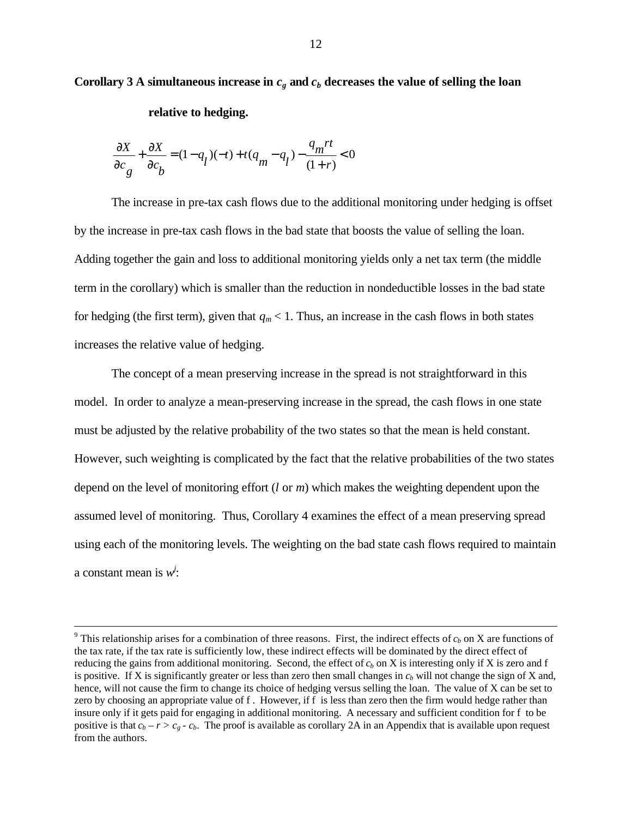# Corollary 3 A simultaneous increase in  $c<sub>g</sub>$  and  $c<sub>b</sub>$  decreases the value of selling the loan

#### **relative to hedging***.*

$$
\frac{\partial X}{\partial c_g} + \frac{\partial X}{\partial c_b} = (1 - q_l)(-t) + t(q_m - q_l) - \frac{q_m rt}{(1+r)} < 0
$$

The increase in pre-tax cash flows due to the additional monitoring under hedging is offset by the increase in pre-tax cash flows in the bad state that boosts the value of selling the loan. Adding together the gain and loss to additional monitoring yields only a net tax term (the middle term in the corollary) which is smaller than the reduction in nondeductible losses in the bad state for hedging (the first term), given that  $q_m < 1$ . Thus, an increase in the cash flows in both states increases the relative value of hedging.

The concept of a mean preserving increase in the spread is not straightforward in this model. In order to analyze a mean-preserving increase in the spread, the cash flows in one state must be adjusted by the relative probability of the two states so that the mean is held constant. However, such weighting is complicated by the fact that the relative probabilities of the two states depend on the level of monitoring effort (*l* or *m*) which makes the weighting dependent upon the assumed level of monitoring. Thus, Corollary 4 examines the effect of a mean preserving spread using each of the monitoring levels. The weighting on the bad state cash flows required to maintain a constant mean is  $w^j$ :

<sup>&</sup>lt;sup>9</sup> This relationship arises for a combination of three reasons. First, the indirect effects of  $c_b$  on X are functions of the tax rate, if the tax rate is sufficiently low, these indirect effects will be dominated by the direct effect of reducing the gains from additional monitoring. Second, the effect of  $c<sub>b</sub>$  on X is interesting only if X is zero and f is positive. If X is significantly greater or less than zero then small changes in  $c<sub>b</sub>$  will not change the sign of X and, hence, will not cause the firm to change its choice of hedging versus selling the loan. The value of X can be set to zero by choosing an appropriate value of f. However, if f is less than zero then the firm would hedge rather than insure only if it gets paid for engaging in additional monitoring. A necessary and sufficient condition for f to be positive is that  $c_b - r > c_g - c_b$ . The proof is available as corollary 2A in an Appendix that is available upon request from the authors.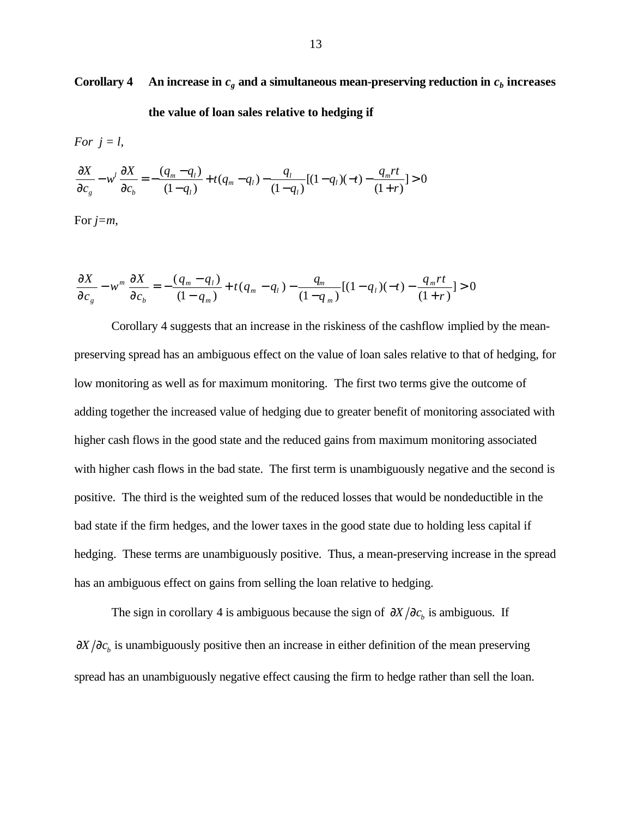Corollary 4 An increase in  $c_g$  and a simultaneous mean-preserving reduction in  $c_b$  increases

**the value of loan sales relative to hedging if**

For 
$$
j = l
$$
,  
\n
$$
\frac{\partial X}{\partial c_g} - w^l \frac{\partial X}{\partial c_b} = -\frac{(q_m - q_l)}{(1 - q_l)} + t(q_m - q_l) - \frac{q_l}{(1 - q_l)}[(1 - q_l)(-t) - \frac{q_m rt}{(1 + r)}] > 0
$$

For *j=m*,

$$
\frac{\partial X}{\partial c_g} - w^m \frac{\partial X}{\partial c_b} = -\frac{(q_m - q_l)}{(1 - q_m)} + t(q_m - q_l) - \frac{q_m}{(1 - q_m)}[(1 - q_l)(-t) - \frac{q_m rt}{(1 + r)}] > 0
$$

Corollary 4 suggests that an increase in the riskiness of the cashflow implied by the meanpreserving spread has an ambiguous effect on the value of loan sales relative to that of hedging, for low monitoring as well as for maximum monitoring. The first two terms give the outcome of adding together the increased value of hedging due to greater benefit of monitoring associated with higher cash flows in the good state and the reduced gains from maximum monitoring associated with higher cash flows in the bad state. The first term is unambiguously negative and the second is positive. The third is the weighted sum of the reduced losses that would be nondeductible in the bad state if the firm hedges, and the lower taxes in the good state due to holding less capital if hedging. These terms are unambiguously positive. Thus, a mean-preserving increase in the spread has an ambiguous effect on gains from selling the loan relative to hedging.

The sign in corollary 4 is ambiguous because the sign of  $\partial X/\partial c_b$  is ambiguous. If  $\partial X/\partial c_b$  is unambiguously positive then an increase in either definition of the mean preserving spread has an unambiguously negative effect causing the firm to hedge rather than sell the loan.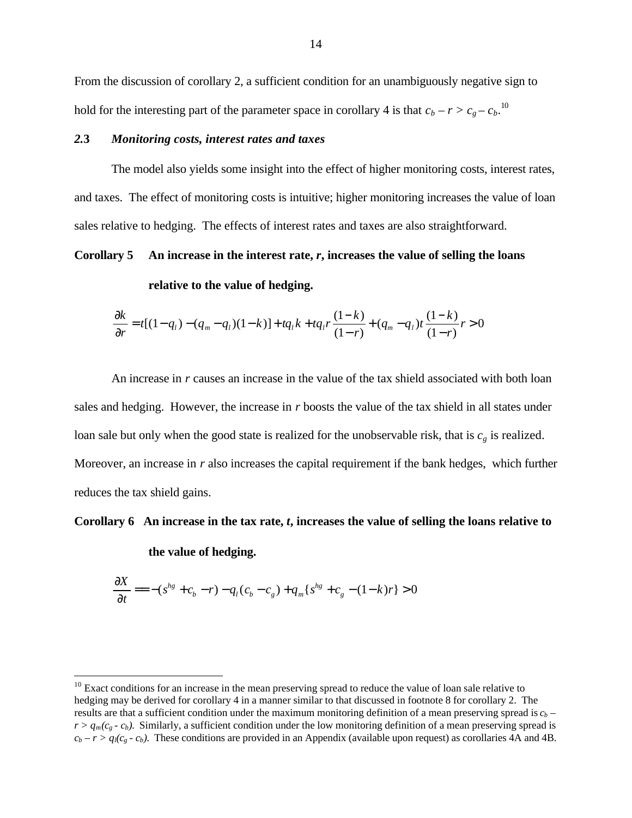From the discussion of corollary 2, a sufficient condition for an unambiguously negative sign to hold for the interesting part of the parameter space in corollary 4 is that  $c_b - r > c_g - c_b$ .<sup>10</sup>

#### *2.***3** *Monitoring costs, interest rates and taxes*

The model also yields some insight into the effect of higher monitoring costs, interest rates, and taxes. The effect of monitoring costs is intuitive; higher monitoring increases the value of loan sales relative to hedging. The effects of interest rates and taxes are also straightforward.

#### **Corollary 5 An increase in the interest rate,** *r***, increases the value of selling the loans**

**relative to the value of hedging.**

$$
\frac{\partial k}{\partial r} = t[(1-q_1)-(q_m-q_1)(1-k)] + tq_1k + tq_1r\frac{(1-k)}{(1-r)} + (q_m-q_1)t\frac{(1-k)}{(1-r)}r > 0
$$

An increase in *r* causes an increase in the value of the tax shield associated with both loan sales and hedging. However, the increase in *r* boosts the value of the tax shield in all states under loan sale but only when the good state is realized for the unobservable risk, that is  $c_g$  is realized. Moreover, an increase in *r* also increases the capital requirement if the bank hedges, which further reduces the tax shield gains.

#### **Corollary 6 An increase in the tax rate,** *t***, increases the value of selling the loans relative to**

**the value of hedging.**

$$
\frac{\partial X}{\partial t} = -(s^{hg} + c_b - r) - q_l(c_b - c_g) + q_m\{s^{hg} + c_g - (1 - k)r\} > 0
$$

 $10<sup>10</sup>$  Exact conditions for an increase in the mean preserving spread to reduce the value of loan sale relative to hedging may be derived for corollary 4 in a manner similar to that discussed in footnote 8 for corollary 2. The results are that a sufficient condition under the maximum monitoring definition of a mean preserving spread is *cb –*  $r > q_m(c_g - c_b)$ . Similarly, a sufficient condition under the low monitoring definition of a mean preserving spread is  $c_b - r > q_l(c_g - c_b)$ . These conditions are provided in an Appendix (available upon request) as corollaries 4A and 4B.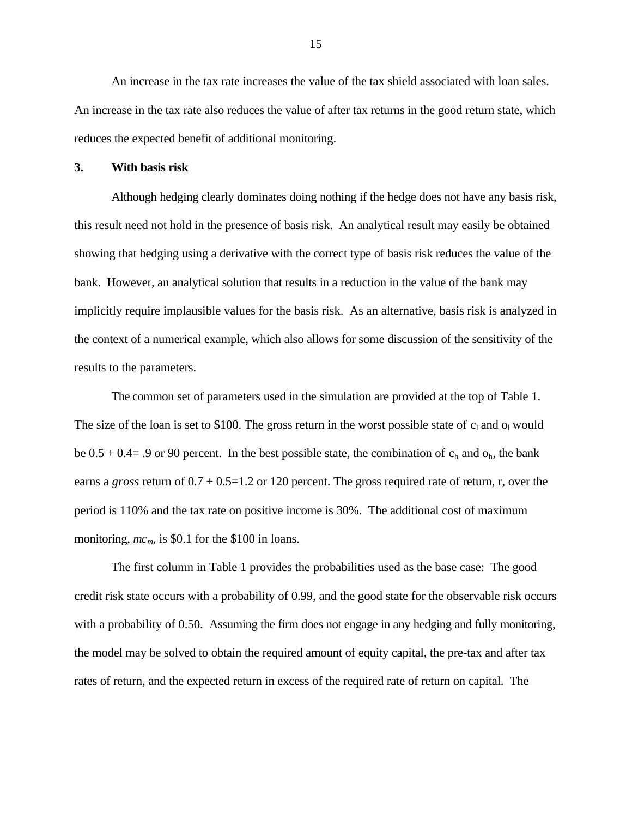An increase in the tax rate increases the value of the tax shield associated with loan sales. An increase in the tax rate also reduces the value of after tax returns in the good return state, which reduces the expected benefit of additional monitoring.

#### **3. With basis risk**

Although hedging clearly dominates doing nothing if the hedge does not have any basis risk, this result need not hold in the presence of basis risk. An analytical result may easily be obtained showing that hedging using a derivative with the correct type of basis risk reduces the value of the bank. However, an analytical solution that results in a reduction in the value of the bank may implicitly require implausible values for the basis risk. As an alternative, basis risk is analyzed in the context of a numerical example, which also allows for some discussion of the sensitivity of the results to the parameters.

The common set of parameters used in the simulation are provided at the top of Table 1. The size of the loan is set to \$100. The gross return in the worst possible state of  $c_1$  and  $o_1$  would be  $0.5 + 0.4 = .9$  or 90 percent. In the best possible state, the combination of  $c_h$  and  $o_h$ , the bank earns a *gross* return of 0.7 + 0.5=1.2 or 120 percent. The gross required rate of return, r, over the period is 110% and the tax rate on positive income is 30%. The additional cost of maximum monitoring,  $mc_m$  is \$0.1 for the \$100 in loans.

The first column in Table 1 provides the probabilities used as the base case: The good credit risk state occurs with a probability of 0.99, and the good state for the observable risk occurs with a probability of 0.50. Assuming the firm does not engage in any hedging and fully monitoring, the model may be solved to obtain the required amount of equity capital, the pre-tax and after tax rates of return, and the expected return in excess of the required rate of return on capital. The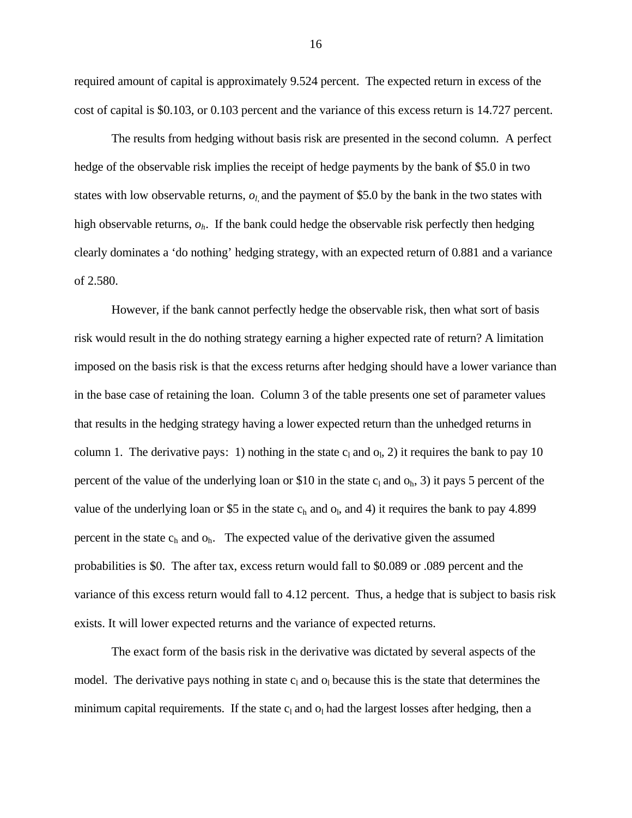required amount of capital is approximately 9.524 percent. The expected return in excess of the cost of capital is \$0.103, or 0.103 percent and the variance of this excess return is 14.727 percent.

The results from hedging without basis risk are presented in the second column. A perfect hedge of the observable risk implies the receipt of hedge payments by the bank of \$5.0 in two states with low observable returns,  $o_l$  and the payment of \$5.0 by the bank in the two states with high observable returns, *oh*. If the bank could hedge the observable risk perfectly then hedging clearly dominates a 'do nothing' hedging strategy, with an expected return of 0.881 and a variance of 2.580.

However, if the bank cannot perfectly hedge the observable risk, then what sort of basis risk would result in the do nothing strategy earning a higher expected rate of return? A limitation imposed on the basis risk is that the excess returns after hedging should have a lower variance than in the base case of retaining the loan. Column 3 of the table presents one set of parameter values that results in the hedging strategy having a lower expected return than the unhedged returns in column 1. The derivative pays: 1) nothing in the state  $c<sub>l</sub>$  and  $o<sub>l</sub>$ , 2) it requires the bank to pay 10 percent of the value of the underlying loan or \$10 in the state  $c_1$  and  $o_h$ , 3) it pays 5 percent of the value of the underlying loan or \$5 in the state  $c_h$  and  $o_l$ , and 4) it requires the bank to pay 4.899 percent in the state  $c_h$  and  $o_h$ . The expected value of the derivative given the assumed probabilities is \$0. The after tax, excess return would fall to \$0.089 or .089 percent and the variance of this excess return would fall to 4.12 percent. Thus, a hedge that is subject to basis risk exists. It will lower expected returns and the variance of expected returns.

The exact form of the basis risk in the derivative was dictated by several aspects of the model. The derivative pays nothing in state  $c_1$  and  $o_1$  because this is the state that determines the minimum capital requirements. If the state  $c<sub>l</sub>$  and  $o<sub>l</sub>$  had the largest losses after hedging, then a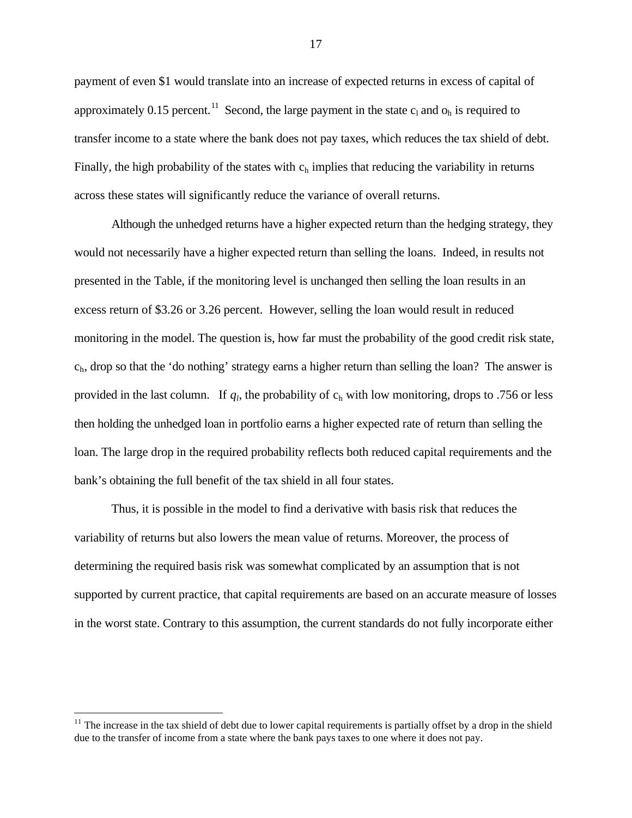payment of even \$1 would translate into an increase of expected returns in excess of capital of approximately 0.15 percent.<sup>11</sup> Second, the large payment in the state  $c_1$  and  $o_h$  is required to transfer income to a state where the bank does not pay taxes, which reduces the tax shield of debt. Finally, the high probability of the states with  $c<sub>h</sub>$  implies that reducing the variability in returns across these states will significantly reduce the variance of overall returns.

Although the unhedged returns have a higher expected return than the hedging strategy, they would not necessarily have a higher expected return than selling the loans. Indeed, in results not presented in the Table, if the monitoring level is unchanged then selling the loan results in an excess return of \$3.26 or 3.26 percent. However, selling the loan would result in reduced monitoring in the model. The question is, how far must the probability of the good credit risk state,  $c<sub>h</sub>$ , drop so that the 'do nothing' strategy earns a higher return than selling the loan? The answer is provided in the last column. If  $q_l$ , the probability of  $c_h$  with low monitoring, drops to .756 or less then holding the unhedged loan in portfolio earns a higher expected rate of return than selling the loan. The large drop in the required probability reflects both reduced capital requirements and the bank's obtaining the full benefit of the tax shield in all four states.

Thus, it is possible in the model to find a derivative with basis risk that reduces the variability of returns but also lowers the mean value of returns. Moreover, the process of determining the required basis risk was somewhat complicated by an assumption that is not supported by current practice, that capital requirements are based on an accurate measure of losses in the worst state. Contrary to this assumption, the current standards do not fully incorporate either

1

 $11$  The increase in the tax shield of debt due to lower capital requirements is partially offset by a drop in the shield due to the transfer of income from a state where the bank pays taxes to one where it does not pay.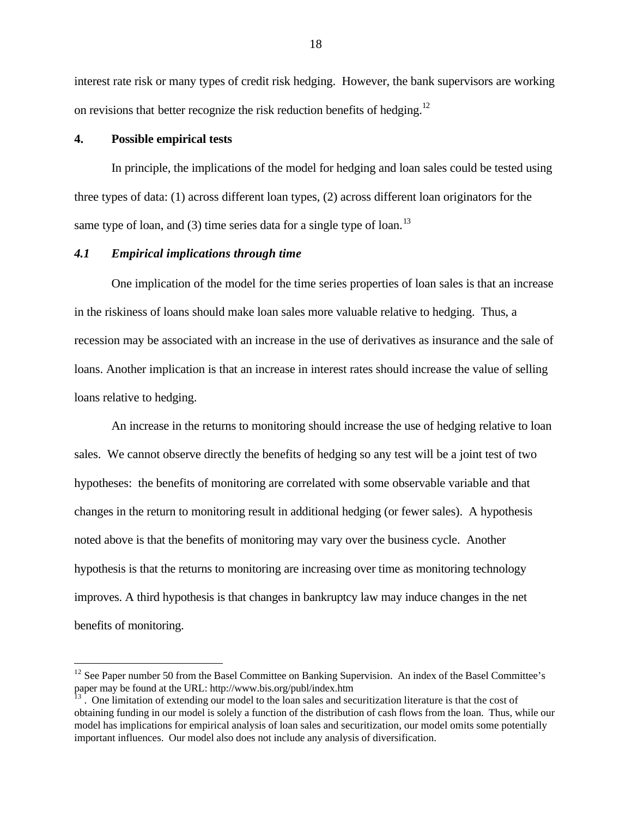interest rate risk or many types of credit risk hedging. However, the bank supervisors are working on revisions that better recognize the risk reduction benefits of hedging.<sup>12</sup>

#### **4. Possible empirical tests**

1

In principle, the implications of the model for hedging and loan sales could be tested using three types of data: (1) across different loan types, (2) across different loan originators for the same type of loan, and (3) time series data for a single type of loan.<sup>13</sup>

#### *4.1 Empirical implications through time*

One implication of the model for the time series properties of loan sales is that an increase in the riskiness of loans should make loan sales more valuable relative to hedging. Thus, a recession may be associated with an increase in the use of derivatives as insurance and the sale of loans. Another implication is that an increase in interest rates should increase the value of selling loans relative to hedging.

An increase in the returns to monitoring should increase the use of hedging relative to loan sales. We cannot observe directly the benefits of hedging so any test will be a joint test of two hypotheses: the benefits of monitoring are correlated with some observable variable and that changes in the return to monitoring result in additional hedging (or fewer sales). A hypothesis noted above is that the benefits of monitoring may vary over the business cycle. Another hypothesis is that the returns to monitoring are increasing over time as monitoring technology improves. A third hypothesis is that changes in bankruptcy law may induce changes in the net benefits of monitoring.

<sup>&</sup>lt;sup>12</sup> See Paper number 50 from the Basel Committee on Banking Supervision. An index of the Basel Committee's paper may be found at the URL: http://www.bis.org/publ/index.htm

<sup>13</sup> . One limitation of extending our model to the loan sales and securitization literature is that the cost of obtaining funding in our model is solely a function of the distribution of cash flows from the loan. Thus, while our model has implications for empirical analysis of loan sales and securitization, our model omits some potentially important influences. Our model also does not include any analysis of diversification.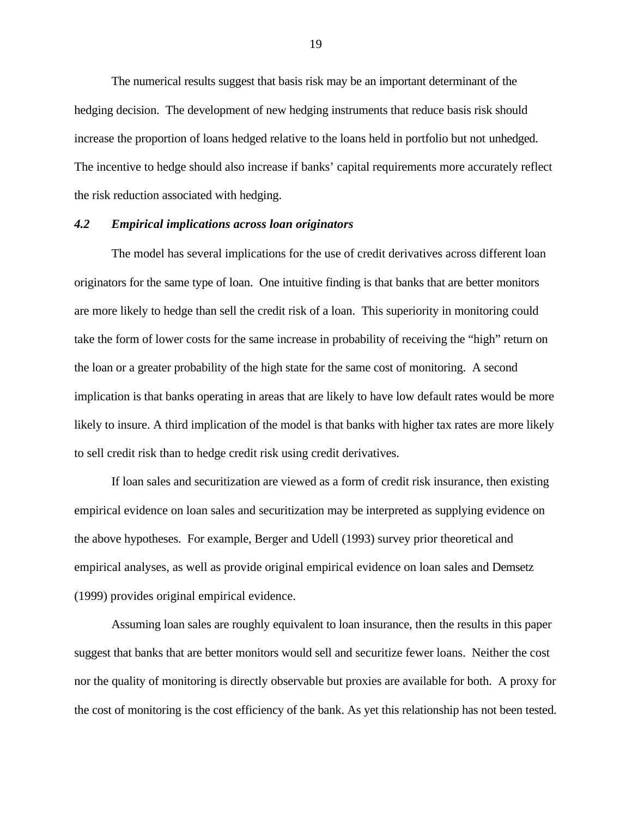The numerical results suggest that basis risk may be an important determinant of the hedging decision. The development of new hedging instruments that reduce basis risk should increase the proportion of loans hedged relative to the loans held in portfolio but not unhedged. The incentive to hedge should also increase if banks' capital requirements more accurately reflect the risk reduction associated with hedging.

#### *4.2 Empirical implications across loan originators*

The model has several implications for the use of credit derivatives across different loan originators for the same type of loan. One intuitive finding is that banks that are better monitors are more likely to hedge than sell the credit risk of a loan. This superiority in monitoring could take the form of lower costs for the same increase in probability of receiving the "high" return on the loan or a greater probability of the high state for the same cost of monitoring. A second implication is that banks operating in areas that are likely to have low default rates would be more likely to insure. A third implication of the model is that banks with higher tax rates are more likely to sell credit risk than to hedge credit risk using credit derivatives.

If loan sales and securitization are viewed as a form of credit risk insurance, then existing empirical evidence on loan sales and securitization may be interpreted as supplying evidence on the above hypotheses. For example, Berger and Udell (1993) survey prior theoretical and empirical analyses, as well as provide original empirical evidence on loan sales and Demsetz (1999) provides original empirical evidence.

Assuming loan sales are roughly equivalent to loan insurance, then the results in this paper suggest that banks that are better monitors would sell and securitize fewer loans. Neither the cost nor the quality of monitoring is directly observable but proxies are available for both. A proxy for the cost of monitoring is the cost efficiency of the bank. As yet this relationship has not been tested.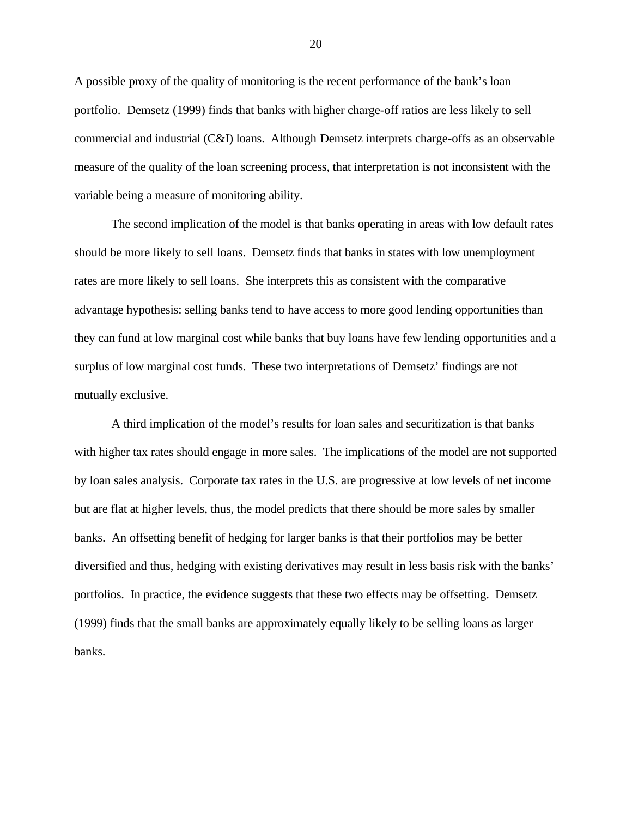A possible proxy of the quality of monitoring is the recent performance of the bank's loan portfolio. Demsetz (1999) finds that banks with higher charge-off ratios are less likely to sell commercial and industrial (C&I) loans. Although Demsetz interprets charge-offs as an observable measure of the quality of the loan screening process, that interpretation is not inconsistent with the variable being a measure of monitoring ability.

The second implication of the model is that banks operating in areas with low default rates should be more likely to sell loans. Demsetz finds that banks in states with low unemployment rates are more likely to sell loans. She interprets this as consistent with the comparative advantage hypothesis: selling banks tend to have access to more good lending opportunities than they can fund at low marginal cost while banks that buy loans have few lending opportunities and a surplus of low marginal cost funds. These two interpretations of Demsetz' findings are not mutually exclusive.

A third implication of the model's results for loan sales and securitization is that banks with higher tax rates should engage in more sales. The implications of the model are not supported by loan sales analysis. Corporate tax rates in the U.S. are progressive at low levels of net income but are flat at higher levels, thus, the model predicts that there should be more sales by smaller banks. An offsetting benefit of hedging for larger banks is that their portfolios may be better diversified and thus, hedging with existing derivatives may result in less basis risk with the banks' portfolios. In practice, the evidence suggests that these two effects may be offsetting. Demsetz (1999) finds that the small banks are approximately equally likely to be selling loans as larger banks.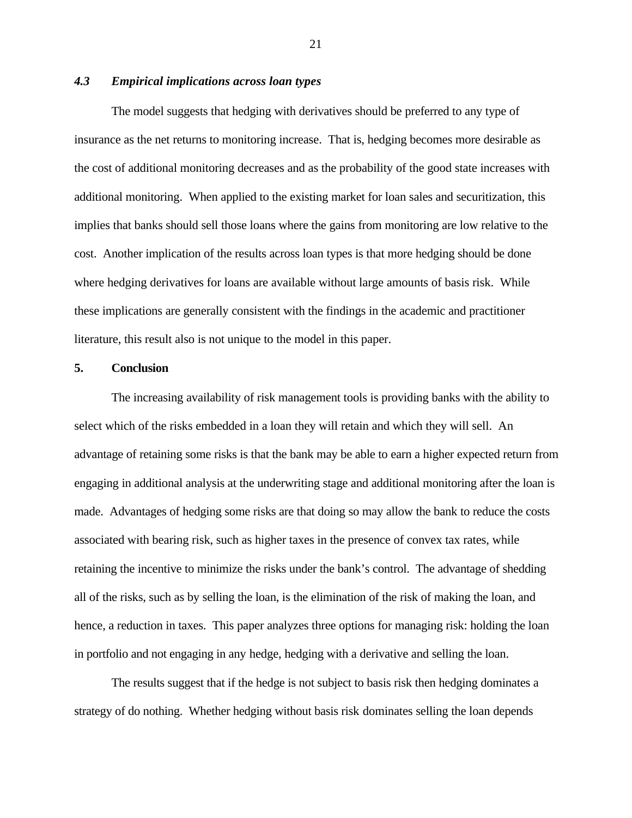## *4.3 Empirical implications across loan types*

The model suggests that hedging with derivatives should be preferred to any type of insurance as the net returns to monitoring increase. That is, hedging becomes more desirable as the cost of additional monitoring decreases and as the probability of the good state increases with additional monitoring. When applied to the existing market for loan sales and securitization, this implies that banks should sell those loans where the gains from monitoring are low relative to the cost. Another implication of the results across loan types is that more hedging should be done where hedging derivatives for loans are available without large amounts of basis risk. While these implications are generally consistent with the findings in the academic and practitioner literature, this result also is not unique to the model in this paper.

#### **5. Conclusion**

The increasing availability of risk management tools is providing banks with the ability to select which of the risks embedded in a loan they will retain and which they will sell. An advantage of retaining some risks is that the bank may be able to earn a higher expected return from engaging in additional analysis at the underwriting stage and additional monitoring after the loan is made. Advantages of hedging some risks are that doing so may allow the bank to reduce the costs associated with bearing risk, such as higher taxes in the presence of convex tax rates, while retaining the incentive to minimize the risks under the bank's control. The advantage of shedding all of the risks, such as by selling the loan, is the elimination of the risk of making the loan, and hence, a reduction in taxes. This paper analyzes three options for managing risk: holding the loan in portfolio and not engaging in any hedge, hedging with a derivative and selling the loan.

The results suggest that if the hedge is not subject to basis risk then hedging dominates a strategy of do nothing. Whether hedging without basis risk dominates selling the loan depends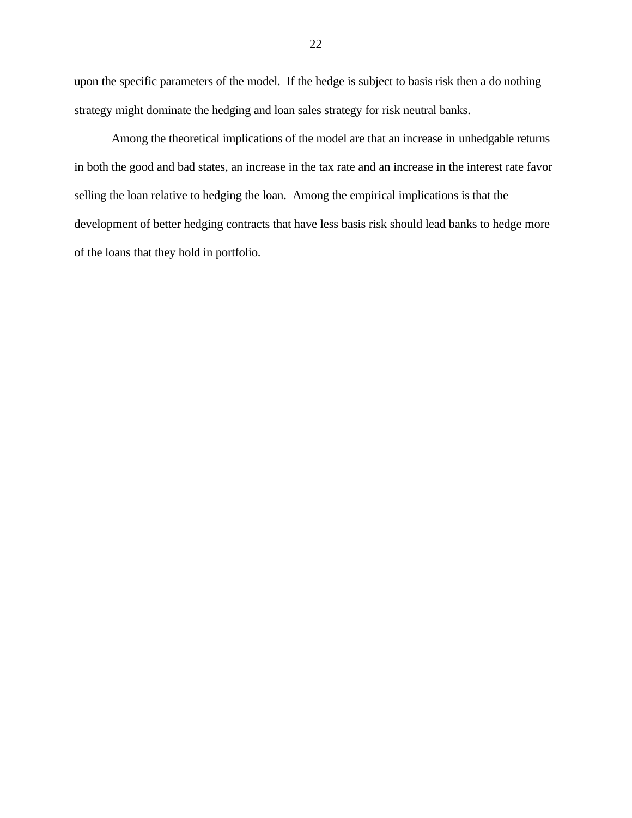upon the specific parameters of the model. If the hedge is subject to basis risk then a do nothing strategy might dominate the hedging and loan sales strategy for risk neutral banks.

Among the theoretical implications of the model are that an increase in unhedgable returns in both the good and bad states, an increase in the tax rate and an increase in the interest rate favor selling the loan relative to hedging the loan. Among the empirical implications is that the development of better hedging contracts that have less basis risk should lead banks to hedge more of the loans that they hold in portfolio.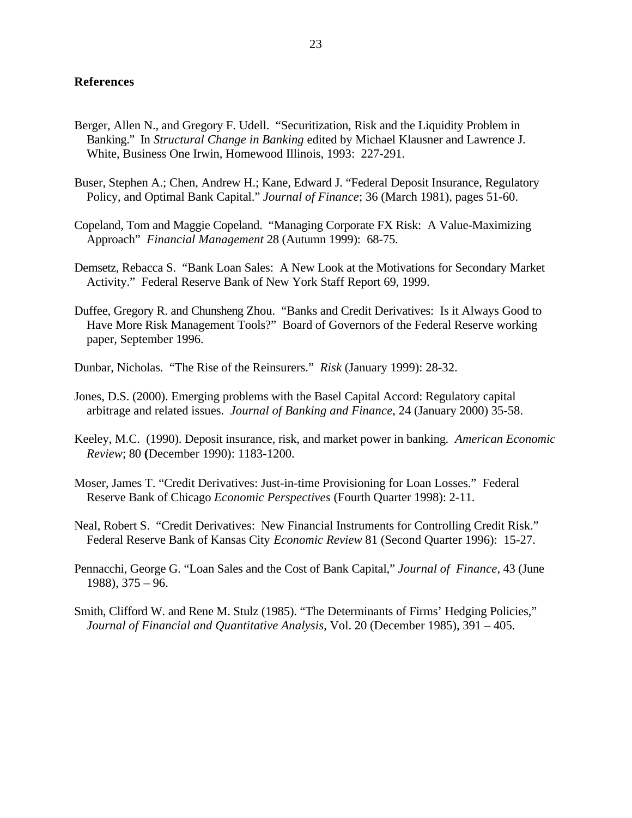#### **References**

- Berger, Allen N., and Gregory F. Udell. "Securitization, Risk and the Liquidity Problem in Banking." In *Structural Change in Banking* edited by Michael Klausner and Lawrence J. White, Business One Irwin, Homewood Illinois, 1993: 227-291.
- Buser, Stephen A.; Chen, Andrew H.; Kane, Edward J. "Federal Deposit Insurance, Regulatory Policy, and Optimal Bank Capital." *Journal of Finance*; 36 (March 1981), pages 51-60.
- Copeland, Tom and Maggie Copeland. "Managing Corporate FX Risk: A Value-Maximizing Approach" *Financial Management* 28 (Autumn 1999): 68-75.
- Demsetz, Rebacca S. "Bank Loan Sales: A New Look at the Motivations for Secondary Market Activity." Federal Reserve Bank of New York Staff Report 69, 1999.
- Duffee, Gregory R. and Chunsheng Zhou. "Banks and Credit Derivatives: Is it Always Good to Have More Risk Management Tools?" Board of Governors of the Federal Reserve working paper, September 1996.
- Dunbar, Nicholas. "The Rise of the Reinsurers." *Risk* (January 1999): 28-32.
- Jones, D.S. (2000). Emerging problems with the Basel Capital Accord: Regulatory capital arbitrage and related issues. *Journal of Banking and Finance*, 24 (January 2000) 35-58.
- Keeley, M.C. (1990). Deposit insurance, risk, and market power in banking*. American Economic Review*; 80 **(**December 1990): 1183-1200.
- Moser, James T. "Credit Derivatives: Just-in-time Provisioning for Loan Losses." Federal Reserve Bank of Chicago *Economic Perspectives* (Fourth Quarter 1998): 2-11.
- Neal, Robert S. "Credit Derivatives: New Financial Instruments for Controlling Credit Risk." Federal Reserve Bank of Kansas City *Economic Review* 81 (Second Quarter 1996): 15-27.
- Pennacchi, George G. "Loan Sales and the Cost of Bank Capital," *Journal of Finance*, 43 (June 1988), 375 – 96.
- Smith, Clifford W. and Rene M. Stulz (1985). "The Determinants of Firms' Hedging Policies," *Journal of Financial and Quantitative Analysis*, Vol. 20 (December 1985), 391 – 405.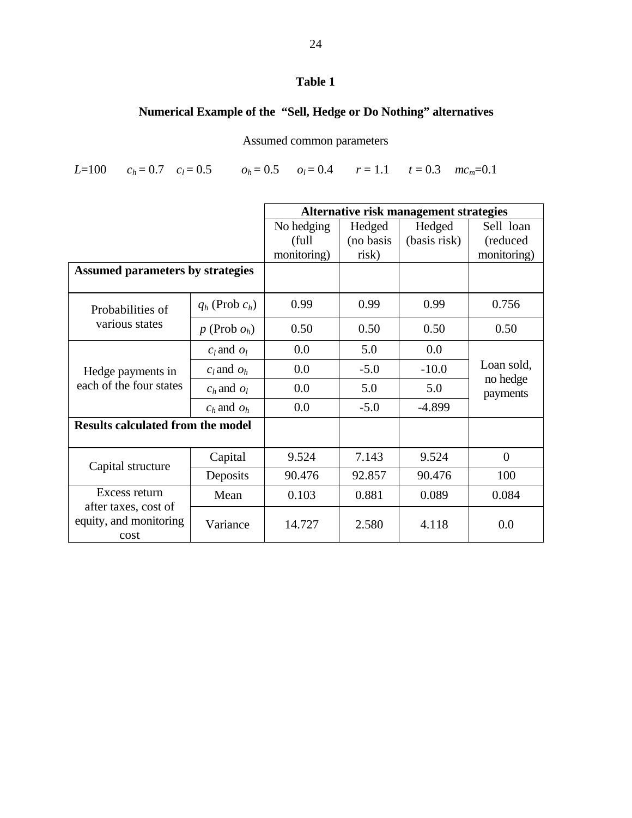# **Table 1**

# **Numerical Example of the "Sell, Hedge or Do Nothing" alternatives**

# Assumed common parameters

*L*=100  $c_h = 0.7$   $c_l = 0.5$   $o_h = 0.5$   $o_l = 0.4$   $r = 1.1$   $t = 0.3$   $mc_m = 0.1$ 

|                                                                         |                     | Alternative risk management strategies |           |              |                                    |
|-------------------------------------------------------------------------|---------------------|----------------------------------------|-----------|--------------|------------------------------------|
|                                                                         |                     | No hedging                             | Hedged    | Hedged       | Sell loan                          |
|                                                                         |                     | (full)                                 | (no basis | (basis risk) | (reduced                           |
|                                                                         |                     | monitoring)                            | risk)     |              | monitoring)                        |
| <b>Assumed parameters by strategies</b>                                 |                     |                                        |           |              |                                    |
| Probabilities of<br>various states                                      | $q_h$ (Prob $c_h$ ) | 0.99                                   | 0.99      | 0.99         | 0.756                              |
|                                                                         | $p$ (Prob $o_h$ )   | 0.50                                   | 0.50      | 0.50         | 0.50                               |
| Hedge payments in<br>each of the four states                            | $c_l$ and $o_l$     | 0.0                                    | 5.0       | 0.0          | Loan sold,<br>no hedge<br>payments |
|                                                                         | $c_l$ and $o_h$     | 0.0                                    | $-5.0$    | $-10.0$      |                                    |
|                                                                         | $c_h$ and $o_l$     | 0.0                                    | 5.0       | 5.0          |                                    |
|                                                                         | $c_h$ and $o_h$     | 0.0                                    | $-5.0$    | $-4.899$     |                                    |
| <b>Results calculated from the model</b>                                |                     |                                        |           |              |                                    |
| Capital structure                                                       | Capital             | 9.524                                  | 7.143     | 9.524        | $\overline{0}$                     |
|                                                                         | Deposits            | 90.476                                 | 92.857    | 90.476       | 100                                |
| Excess return<br>after taxes, cost of<br>equity, and monitoring<br>cost | Mean                | 0.103                                  | 0.881     | 0.089        | 0.084                              |
|                                                                         | Variance            | 14.727                                 | 2.580     | 4.118        | 0.0                                |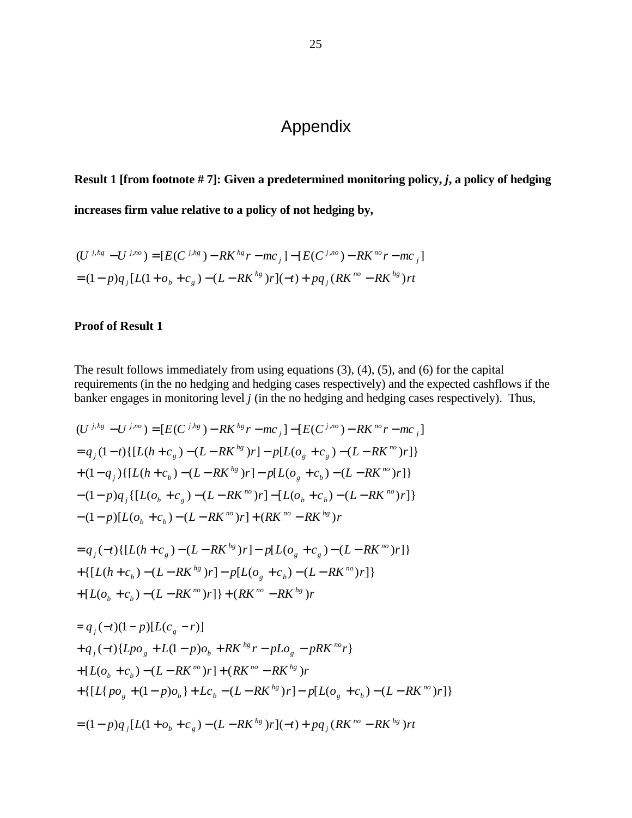# Appendix

**Result 1 [from footnote # 7]: Given a predetermined monitoring policy,** *j***, a policy of hedging**

**increases firm value relative to a policy of not hedging by,**

$$
(U^{j,hg} - U^{j,no}) = [E(C^{j,hg}) - RK^{hg}r - mc_j] - [E(C^{j,no}) - RK^{no}r - mc_j]
$$
  
=  $(1-p)q_j[L(1+o_b+c_g) - (L-RK^{hg})r](-t) + pq_j(RK^{no} - RK^{hg})rt$ 

## **Proof of Result 1**

The result follows immediately from using equations (3), (4), (5), and (6) for the capital requirements (in the no hedging and hedging cases respectively) and the expected cashflows if the banker engages in monitoring level *j* (in the no hedging and hedging cases respectively). Thus,

$$
(U^{j,hg} - U^{j,no}) = [E(C^{j,hg}) - RK^{hg}r - mc_j] - [E(C^{j,no}) - RK^{no}r - mc_j]
$$
  
=  $q_j(1-t)\{[L(h+c_g) - (L - RK^{hg})r] - p[L(o_g + c_g) - (L - RK^{no})r]\}$   
+  $(1-q_j)\{[L(h+c_b) - (L - RK^{hg})r] - p[L(o_g + c_b) - (L - RK^{no})r]\}$   
-  $(1-p)q_j\{[L(o_b + c_g) - (L - RK^{no})r] - [L(o_b + c_b) - (L - RK^{no})r]\}$   
-  $(1-p)[L(o_b + c_b) - (L - RK^{no})r] + (RK^{no} - RK^{hg})r$ 

$$
= q_j(-t)\{[L(h+c_g) - (L - RK^{hg})r] - p[L(o_g + c_g) - (L - RK^{no})r]\}
$$
  
+ 
$$
\{[L(h+c_b) - (L - RK^{hg})r] - p[L(o_g + c_b) - (L - RK^{no})r]\}
$$
  
+ 
$$
[L(o_b + c_b) - (L - RK^{no})r]\} + (RK^{no} - RK^{hg})r
$$

$$
= q_j(-t)(1-p)[L(c_g - r)]
$$
  
+  $q_j(-t){Lpo_g + L(1-p)o_b + RK^{hg}r - pLo_g - pRK^{no}r}$   
+  $[L(o_b + c_b) - (L - RK^{no})r] + (RK^{no} - RK^{hg})r$   
+  $\{[L\{po_g + (1-p)o_b\} + Lc_b - (L - RK^{hg})r] - p[L(o_g + c_b) - (L - RK^{no})r]\}$   
=  $(1-p)q_j[L(1+o_b + c_g) - (L - RK^{hg})r](-t) + pq_j(RK^{no} - RK^{hg})rt$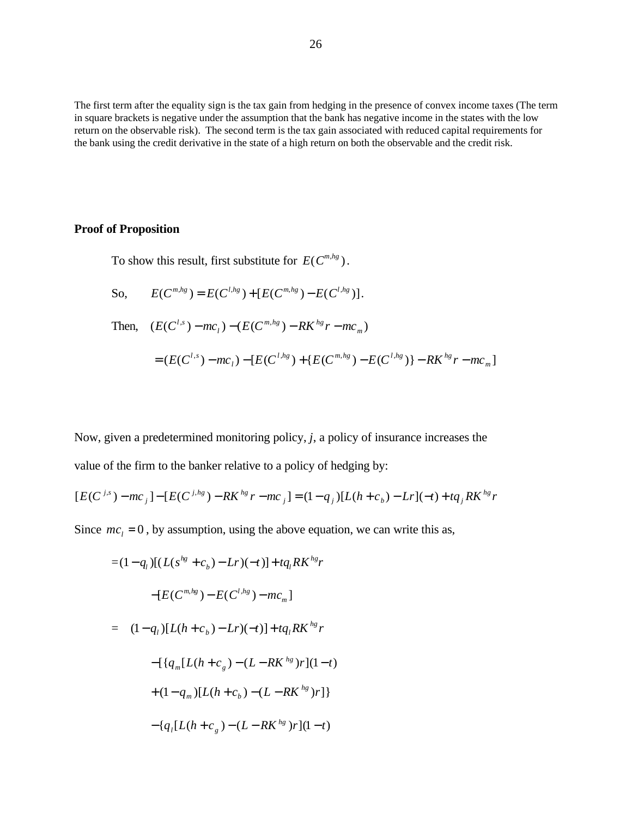The first term after the equality sign is the tax gain from hedging in the presence of convex income taxes (The term in square brackets is negative under the assumption that the bank has negative income in the states with the low return on the observable risk). The second term is the tax gain associated with reduced capital requirements for the bank using the credit derivative in the state of a high return on both the observable and the credit risk.

#### **Proof of Proposition**

To show this result, first substitute for  $E(C^{m, hg})$ .

So, 
$$
E(C^{n,hg}) = E(C^{l,hg}) + [E(C^{m,hg}) - E(C^{l,hg})].
$$
  
\nThen,  $(E(C^{l,s}) - mc_l) - (E(C^{m,hg}) - RK^{hg}r - mc_m)$   
\n $= (E(C^{l,s}) - mc_l) - [E(C^{l,hg}) + \{E(C^{m,hg}) - E(C^{l,hg})\} - RK^{hg}r - mc_m]$ 

Now, given a predetermined monitoring policy, *j*, a policy of insurance increases the value of the firm to the banker relative to a policy of hedging by:

$$
[E(C^{j,s})-mc_j]-[E(C^{j,hg})-RK^{hg}r-mc_j]=(1-q_j)[L(h+c_b)-Lr](-t)+tq_jRK^{hg}r
$$

Since  $mc_1 = 0$ , by assumption, using the above equation, we can write this as,

$$
= (1 - q_l) [(L(s^{hg} + c_h) - Lr)(-t)] + tq_l R K^{hg}r
$$
  
\n
$$
- [E(C^{m, hg}) - E(C^{l, hg}) - mc_m]
$$
  
\n
$$
= (1 - q_l) [L(h + c_h) - Lr)(-t)] + tq_l R K^{hg} r
$$
  
\n
$$
- [ {q_m [L(h + c_g) - (L - R K^{hg})r ](1-t)}
$$
  
\n
$$
+ (1 - q_m) [L(h + c_h) - (L - R K^{hg})r ] }
$$
  
\n
$$
- {q_l [L(h + c_g) - (L - R K^{hg})r ](1-t)}
$$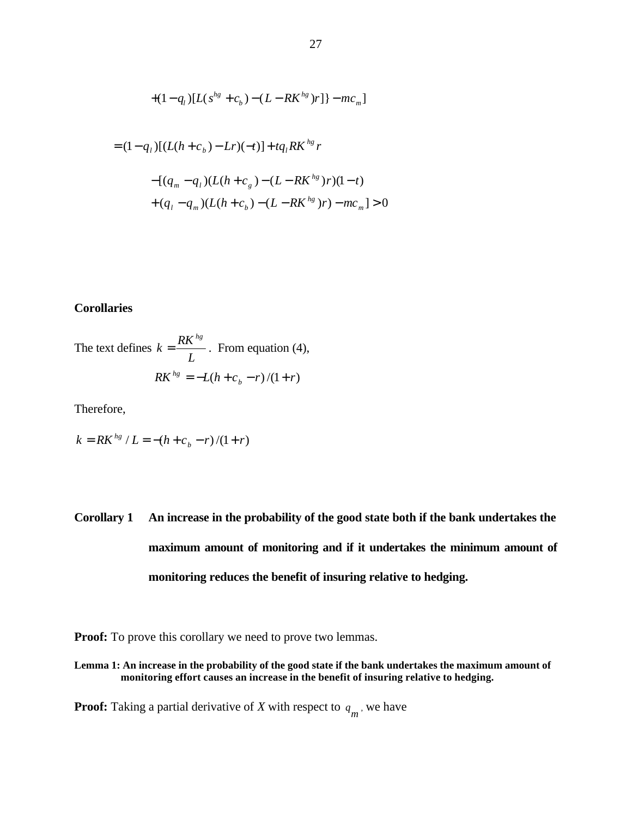+
$$
(1-q_l)[L(s^{hg} + c_b) - (L - RK^{hg})r]]
$$
 -  $mc_m]$   
\n=  $(1-q_l)[(L(h + c_b) - Lr)(-t)] + tq_l RK^{hg}r$   
\n- $[(q_m - q_l)(L(h + c_g) - (L - RK^{hg})r)(1-t)$   
\n+  $(q_l - q_m)(L(h + c_b) - (L - RK^{hg})r) - mc_m] > 0$ 

*hg*

### **Corollaries**

The text defines *L*  $k = \frac{RK^{hg}}{I}$  $=\frac{K}{K}$ . From equation (4),  $RK^{hg} = -L(h + c_b - r)/(1 + r)$ 

Therefore,

$$
k = RK^{hg} / L = -(h + c_b - r)/(1 + r)
$$

# **Corollary 1 An increase in the probability of the good state both if the bank undertakes the maximum amount of monitoring and if it undertakes the minimum amount of monitoring reduces the benefit of insuring relative to hedging.**

**Proof:** To prove this corollary we need to prove two lemmas.

**Lemma 1: An increase in the probability of the good state if the bank undertakes the maximum amount of monitoring effort causes an increase in the benefit of insuring relative to hedging.**

**Proof:** Taking a partial derivative of *X* with respect to  $q_m$ , we have

*hg*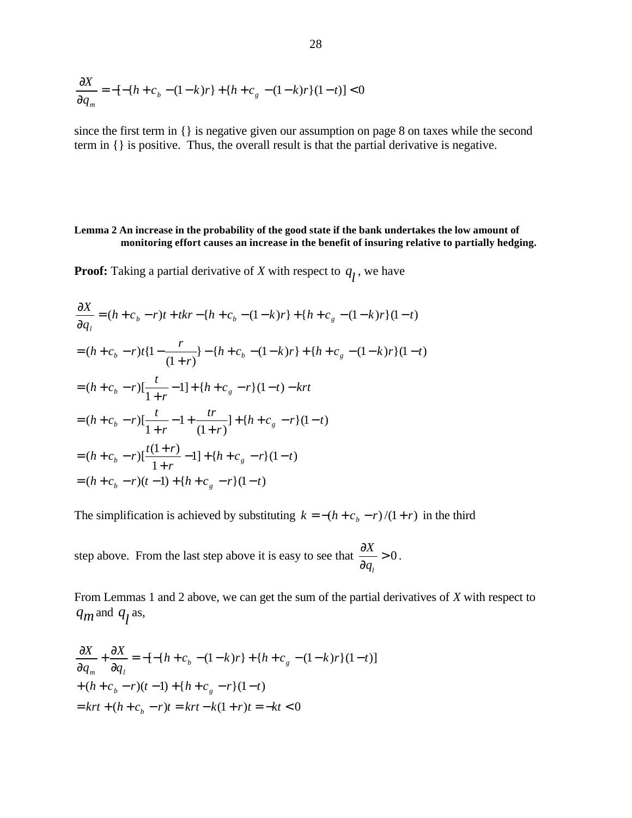$$
\frac{\partial X}{\partial q_m} = -[-\{h + c_b - (1 - k)r\} + \{h + c_g - (1 - k)r\}(1 - t)] < 0
$$

since the first term in {} is negative given our assumption on page 8 on taxes while the second term in {} is positive. Thus, the overall result is that the partial derivative is negative.

#### **Lemma 2 An increase in the probability of the good state if the bank undertakes the low amount of monitoring effort causes an increase in the benefit of insuring relative to partially hedging.**

**Proof:** Taking a partial derivative of *X* with respect to  $q_l$ , we have

$$
\frac{\partial X}{\partial q_i} = (h + c_b - r)t + tkr - \{h + c_b - (1 - k)r\} + \{h + c_g - (1 - k)r\}(1 - t)
$$
\n
$$
= (h + c_b - r)t\{1 - \frac{r}{(1 + r)}\} - \{h + c_b - (1 - k)r\} + \{h + c_g - (1 - k)r\}(1 - t)
$$
\n
$$
= (h + c_b - r)\left[\frac{t}{1 + r} - 1\right] + \{h + c_g - r\}(1 - t) - krt
$$
\n
$$
= (h + c_b - r)\left[\frac{t}{1 + r} - 1 + \frac{tr}{(1 + r)}\right] + \{h + c_g - r\}(1 - t)
$$
\n
$$
= (h + c_b - r)\left[\frac{t(1 + r)}{1 + r} - 1\right] + \{h + c_g - r\}(1 - t)
$$
\n
$$
= (h + c_b - r)(t - 1) + \{h + c_g - r\}(1 - t)
$$

The simplification is achieved by substituting  $k = -(h + c_h - r)/(1 + r)$  in the third

step above. From the last step above it is easy to see that  $\frac{dx}{dx} > 0$ ∂ ∂ *l q*  $\frac{X}{-} > 0$ .

From Lemmas 1 and 2 above, we can get the sum of the partial derivatives of *X* with respect to  $q_m$  and  $q_l$  as,

$$
\frac{\partial X}{\partial q_m} + \frac{\partial X}{\partial q_l} = -[-\{h + c_b - (1 - k)r\} + \{h + c_g - (1 - k)r\}(1 - t)]
$$
  
+  $(h + c_b - r)(t - 1) + \{h + c_g - r\}(1 - t)$   
=  $krt + (h + c_b - r)t = krt - k(1 + r)t = -kt < 0$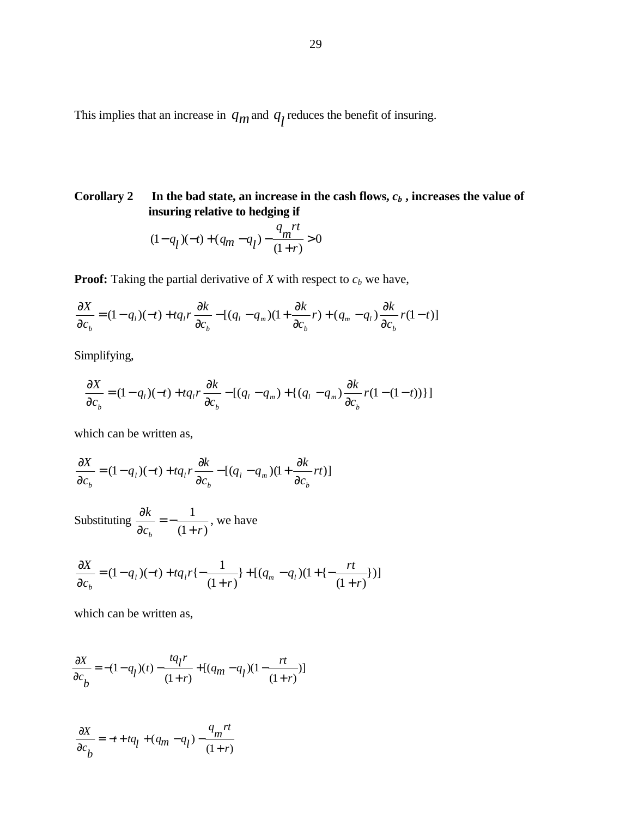This implies that an increase in  $q_m$  and  $q_l$  reduces the benefit of insuring.

# **Corollary 2** In the bad state, an increase in the cash flows,  $c_b$  , increases the value of **insuring relative to hedging if**

$$
(1 - q_l)(-t) + (q_m - q_l) - \frac{q_m r t}{(1+r)} > 0
$$

**Proof:** Taking the partial derivative of  $X$  with respect to  $c_b$  we have,

$$
\frac{\partial X}{\partial c_b} = (1 - q_l)(-t) + tq_l r \frac{\partial k}{\partial c_b} - [(q_l - q_m)(1 + \frac{\partial k}{\partial c_b}r) + (q_m - q_l)\frac{\partial k}{\partial c_b}r(1 - t)]
$$

Simplifying,

$$
\frac{\partial X}{\partial c_b} = (1 - q_l)(-t) + tq_l r \frac{\partial k}{\partial c_b} - [(q_l - q_m) + (q_l - q_m) \frac{\partial k}{\partial c_b} r(1 - (1 - t))]
$$

which can be written as,

$$
\frac{\partial X}{\partial c_b} = (1 - q_l)(-t) + tq_l r \frac{\partial k}{\partial c_b} - [(q_l - q_m)(1 + \frac{\partial k}{\partial c_b} rt)]
$$

Substituting  $(1 + r)$ 1  $c<sub>b</sub>$   $(1+r)$ *k*  $\lambda_b$   $(1 +$ = − ∂  $\frac{\partial k}{\partial s} = -\frac{1}{\partial t}$ , we have

$$
\frac{\partial X}{\partial c_b} = (1 - q_l)(-t) + tq_l r \{-\frac{1}{(1+r)}\} + [(q_m - q_l)(1 + \{-\frac{rt}{(1+r)}\})]
$$

which can be written as,

$$
\frac{\partial X}{\partial c_b} = -(1 - q_l)(t) - \frac{tq_l r}{(1+r)} + [(q_m - q_l)(1 - \frac{rt}{(1+r)})]
$$

$$
\frac{\partial X}{\partial c_b} = -t + tq_l + (q_m - q_l) - \frac{q_m rt}{(1+r)}
$$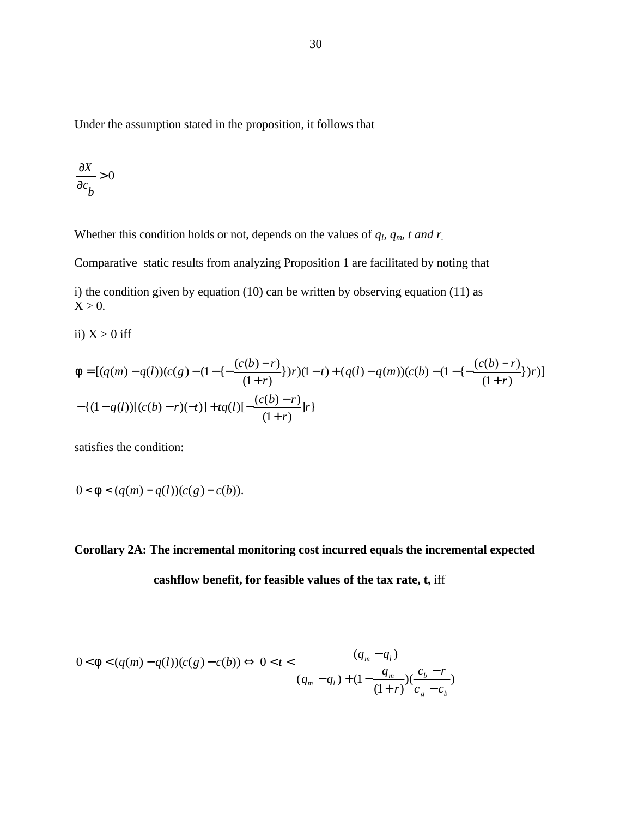Under the assumption stated in the proposition, it follows that

$$
\frac{\partial X}{\partial c_b} > 0
$$

Whether this condition holds or not, depends on the values of  $q_l$ ,  $q_m$ , t and r

Comparative static results from analyzing Proposition 1 are facilitated by noting that

i) the condition given by equation (10) can be written by observing equation (11) as  $X > 0$ .

ii)  $X > 0$  iff

$$
f = [(q(m) - q(l))(c(g) - (1 - \{-\frac{(c(b) - r)}{(1 + r)}\})r)(1 - t) + (q(l) - q(m))(c(b) - (1 - \{-\frac{(c(b) - r)}{(1 + r)}\})r)]
$$

$$
-\{(1 - q(l))[(c(b) - r)(-t)] + tq(l)\{-\frac{(c(b) - r)}{(1 + r)}\}r\}
$$

satisfies the condition:

$$
0 < f < (q(m) - q(l))(c(g) - c(b)).
$$

**Corollary 2A: The incremental monitoring cost incurred equals the incremental expected**

**cashflow benefit, for feasible values of the tax rate, t,** iff

$$
0 < f < (q(m) - q(l))(c(g) - c(b)) \Leftrightarrow 0 < t < \frac{(q_m - q_l)}{(q_m - q_l) + (1 - \frac{q_m}{(1+r)})\left(\frac{c_b - r}{c_g - c_b}\right)}
$$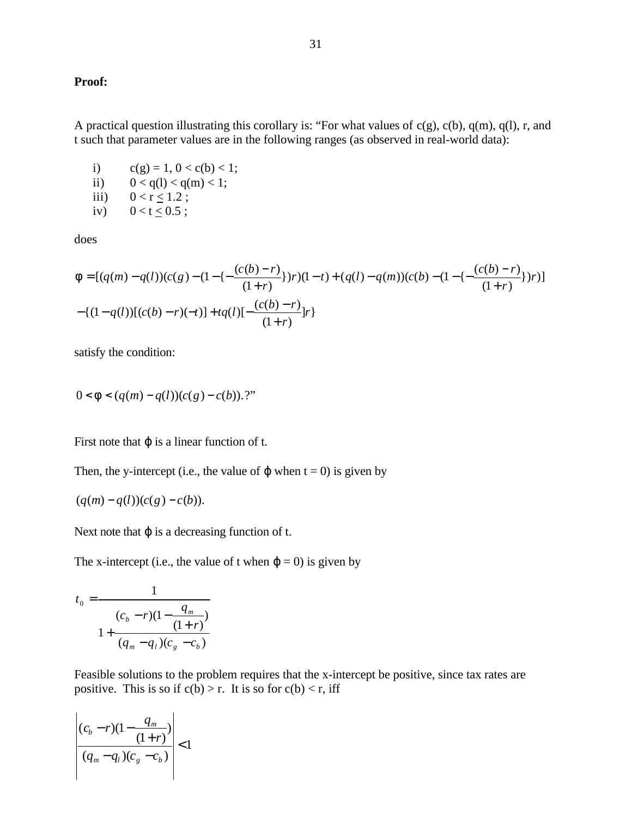#### **Proof:**

A practical question illustrating this corollary is: "For what values of  $c(g)$ ,  $c(b)$ ,  $q(m)$ ,  $q(l)$ , r, and t such that parameter values are in the following ranges (as observed in real-world data):

- i)  $c(g) = 1, 0 < c(b) < 1;$ ii)  $0 < q(1) < q(m) < 1$ ;
- iii)  $0 < r \le 1.2$ ;
- iv)  $0 < t < 0.5$ ;

does

$$
f = [(q(m) - q(l))(c(g) - (1 - \{-\frac{(c(b) - r)}{(1 + r)}\})r)(1 - t) + (q(l) - q(m))(c(b) - (1 - \{-\frac{(c(b) - r)}{(1 + r)}\})r)]
$$

$$
-\{(1 - q(l))[(c(b) - r)(-t)] + tq(l)[-\frac{(c(b) - r)}{(1 + r)}]r\}
$$

satisfy the condition:

$$
0\!<\!f\!<\!(q(m)\!-\!q(l))(c(g)\!-\!c(b)).\,?
$$

First note that  $\varphi$  is a linear function of t.

Then, the y-intercept (i.e., the value of  $\varphi$  when t = 0) is given by

$$
(q(m) - q(l))(c(g) - c(b)).
$$

Next note that  $\varphi$  is a decreasing function of t.

The x-intercept (i.e., the value of t when  $\varphi = 0$ ) is given by

$$
t_0 = \frac{1}{\frac{(c_b - r)(1 - \frac{q_m}{(1+r)})}{1 + \frac{q_m - q_l}{(c_g - c_b)}}
$$

Feasible solutions to the problem requires that the x-intercept be positive, since tax rates are positive. This is so if  $c(b) > r$ . It is so for  $c(b) < r$ , iff

$$
\left| \frac{(c_b - r)(1 - \frac{q_m}{(1+r)})}{(q_m - q_l)(c_g - c_b)} \right| < 1
$$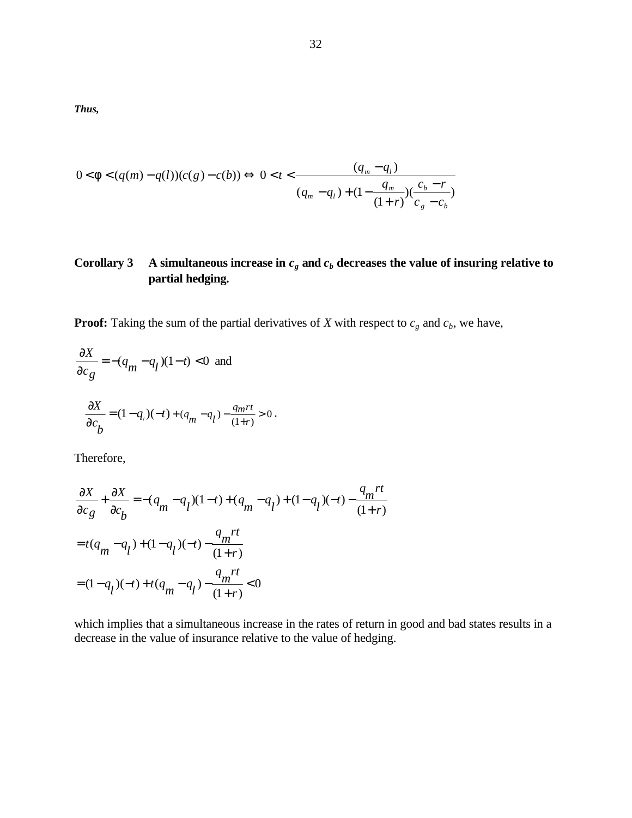*Thus,*

$$
0 < f < (q(m) - q(l))(c(g) - c(b)) \Leftrightarrow 0 < t < \frac{(q_m - q_l)}{(q_m - q_l) + (1 - \frac{q_m}{(1+r)})(\frac{c_b - r}{c_g - c_b})}
$$

# **Corollary 3 A** simultaneous increase in  $c_g$  and  $c_b$  decreases the value of insuring relative to **partial hedging.**

**Proof:** Taking the sum of the partial derivatives of *X* with respect to  $c_g$  and  $c_b$ , we have,

$$
\frac{\partial X}{\partial c_g} = -(q_m - q_l)(1-t) < 0 \text{ and}
$$
  

$$
\frac{\partial X}{\partial c_b} = (1-q_l)(-t) + (q_m - q_l) - \frac{q_m rt}{(1+r)} > 0.
$$

Therefore,

$$
\frac{\partial X}{\partial c_g} + \frac{\partial X}{\partial c_b} = -(q_m - q_l)(1 - t) + (q_m - q_l) + (1 - q_l)(-t) - \frac{q_m rt}{(1 + r)}
$$
  
=  $t(q_m - q_l) + (1 - q_l)(-t) - \frac{q_m rt}{(1 + r)}$   
=  $(1 - q_l)(-t) + t(q_m - q_l) - \frac{q_m rt}{(1 + r)} < 0$ 

which implies that a simultaneous increase in the rates of return in good and bad states results in a decrease in the value of insurance relative to the value of hedging.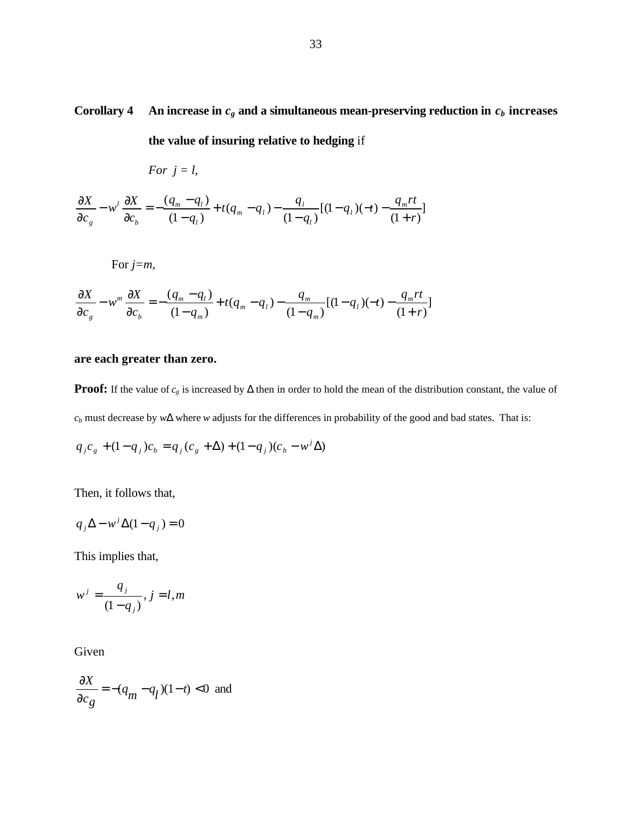**Corollary 4 An increase in**  $c_g$  **and a simultaneous mean-preserving reduction in**  $c_b$  **increases** 

**the value of insuring relative to hedging** if

*For*  $j = l$ ,

$$
\frac{\partial X}{\partial c_g} - w^l \frac{\partial X}{\partial c_b} = -\frac{(q_m - q_l)}{(1 - q_l)} + t(q_m - q_l) - \frac{q_l}{(1 - q_l)}[(1 - q_l)(-t) - \frac{q_m rt}{(1 + r)}]
$$

For *j=m*,

$$
\frac{\partial X}{\partial c_g} - w^m \frac{\partial X}{\partial c_b} = -\frac{(q_m - q_l)}{(1 - q_m)} + t(q_m - q_l) - \frac{q_m}{(1 - q_m)}[(1 - q_l)(-t) - \frac{q_m rt}{(1 + r)}]
$$

# **are each greater than zero.**

**Proof:** If the value of  $c_g$  is increased by  $\Delta$  then in order to hold the mean of the distribution constant, the value of *c<sup>b</sup>* must decrease by *w*Δ where *w* adjusts for the differences in probability of the good and bad states. That is:

$$
q_j c_g + (1 - q_j)c_b = q_j(c_g + \Delta) + (1 - q_j)(c_b - w^j \Delta)
$$

Then, it follows that,

$$
q_j \Delta - w^j \Delta (1 - q_j) = 0
$$

This implies that,

$$
w^j = \frac{q_j}{(1-q_j)}, j=l,m
$$

Given

$$
\frac{\partial X}{\partial c_g} = -(q_m - q_l)(1 - t) < 0
$$
 and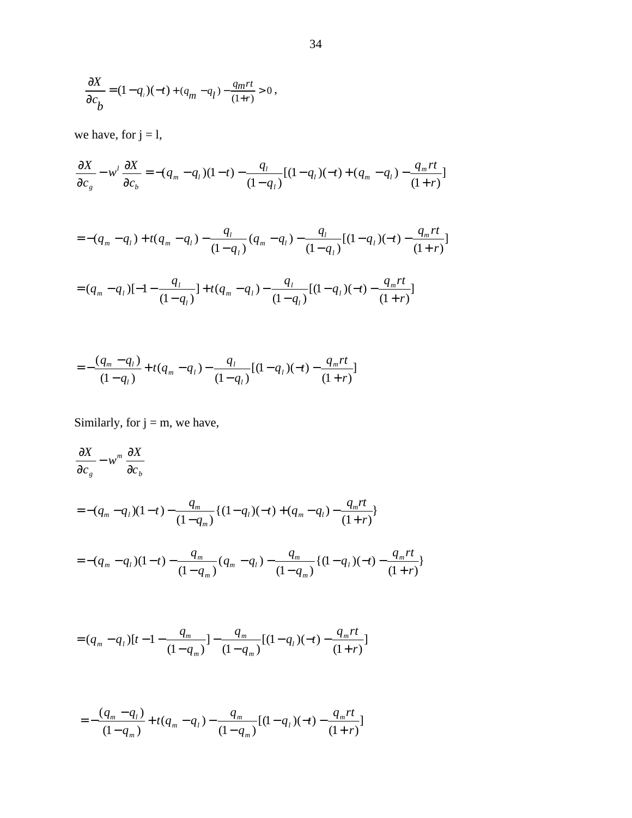$$
\frac{\partial X}{\partial c_b} = (1 - q_i)(-t) + (q_m - q_l) - \frac{q_m rt}{(1+r)} > 0,
$$

we have, for  $j = 1$ ,

$$
\frac{\partial X}{\partial c_g} - w^l \frac{\partial X}{\partial c_b} = -(q_m - q_l)(1 - t) - \frac{q_l}{(1 - q_l)}[(1 - q_l)(-t) + (q_m - q_l) - \frac{q_m rt}{(1 + r)}]
$$

$$
=-(q_m-q_l)+t(q_m-q_l)-\frac{q_l}{(1-q_l)}(q_m-q_l)-\frac{q_l}{(1-q_l)}[(1-q_l)(-t)-\frac{q_m rt}{(1+r)}]
$$

$$
= (q_m - q_l) [-1 - \frac{q_l}{(1 - q_l)}] + t (q_m - q_l) - \frac{q_l}{(1 - q_l)} [(1 - q_l)(-t) - \frac{q_m rt}{(1 + r)}]
$$

$$
=-\frac{(q_m-q_l)}{(1-q_l)}+t(q_m-q_l)-\frac{q_l}{(1-q_l)}[(1-q_l)(-t)-\frac{q_m rt}{(1+r)}]
$$

Similarly, for  $j = m$ , we have,

$$
\frac{\partial X}{\partial c_g} - w^m \frac{\partial X}{\partial c_b}
$$
\n
$$
= -(q_m - q_l)(1-t) - \frac{q_m}{(1-q_m)} \{ (1-q_l)(-t) + (q_m - q_l) - \frac{q_m rt}{(1+r)} \}
$$
\n
$$
= -(q_m - q_l)(1-t) - \frac{q_m}{(1-q_m)} (q_m - q_l) - \frac{q_m}{(1-q_m)} \{ (1-q_l)(-t) - \frac{q_m rt}{(1+r)} \}
$$

$$
= (q_m - q_l)[t - 1 - \frac{q_m}{(1 - q_m)}] - \frac{q_m}{(1 - q_m)}[(1 - q_l)(-t) - \frac{q_m rt}{(1 + r)}]
$$

$$
=-\frac{(q_m-q_l)}{(1-q_m)}+t(q_m-q_l)-\frac{q_m}{(1-q_m)}[(1-q_l)(-t)-\frac{q_m rt}{(1+r)}]
$$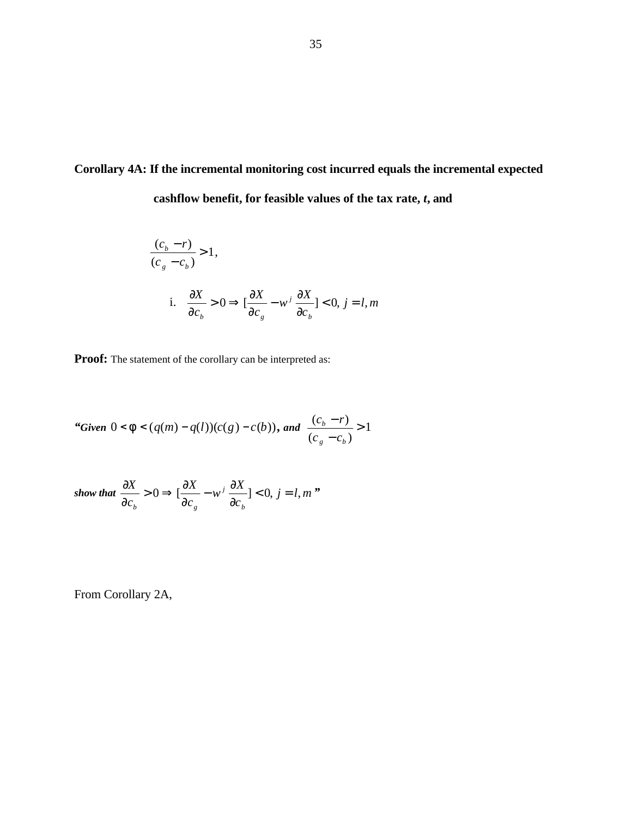# **Corollary 4A: If the incremental monitoring cost incurred equals the incremental expected cashflow benefit, for feasible values of the tax rate,** *t***, and**

$$
\frac{(c_b - r)}{(c_g - c_b)} > 1,
$$
  
i. 
$$
\frac{\partial X}{\partial c_b} > 0 \Rightarrow [\frac{\partial X}{\partial c_g} - w^j \frac{\partial X}{\partial c_b}] < 0, j = l, m
$$

**Proof:** The statement of the corollary can be interpreted as:

"Given 
$$
0 < f < (q(m) - q(l))(c(g) - c(b))
$$
, and  $\frac{(c_b - r)}{(c_g - c_b)} > 1$ 

show that 
$$
\frac{\partial X}{\partial c_b} > 0 \Rightarrow [\frac{\partial X}{\partial c_g} - w^j \frac{\partial X}{\partial c_b}] < 0, j = l, m
$$
"

From Corollary 2A,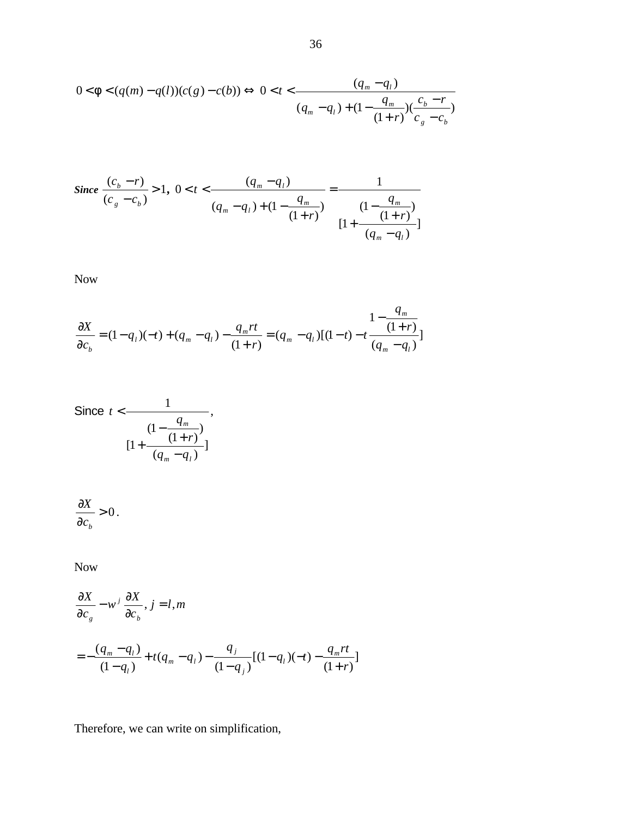$$
0 < f < (q(m) - q(l))(c(g) - c(b)) \Leftrightarrow 0 < t < \frac{(q_m - q_l)}{(q_m - q_l) + (1 - \frac{q_m}{(1+r)})\left(\frac{c_b - r}{c_g - c_b}\right)}
$$

Since 
$$
\frac{(c_b - r)}{(c_g - c_b)} > 1
$$
,  $0 < t < \frac{(q_m - q_l)}{(q_m - q_l) + (1 - \frac{q_m}{(1+r)})} = \frac{1}{\frac{(1 - \frac{q_m}{(1+r)})}{[1 + \frac{q_m}{(q_m - q_l)}]}}$ 

Now

$$
\frac{\partial X}{\partial c_b} = (1 - q_l)(-t) + (q_m - q_l) - \frac{q_m rt}{(1 + r)} = (q_m - q_l)[(1 - t) - t \frac{1 - \frac{q_m}{(1 + r)}}{(q_m - q_l)}]
$$

Since 
$$
t < \frac{1}{(1 - \frac{q_m}{(1+r)})}
$$
,  

$$
[1 + \frac{q_m}{(q_m - q_l)}]
$$

$$
\frac{\partial X}{\partial c_b} > 0.
$$

Now

$$
\frac{\partial X}{\partial c_g} - w^j \frac{\partial X}{\partial c_b}, j = l, m
$$
  
=  $-\frac{(q_m - q_l)}{(1 - q_l)} + t(q_m - q_l) - \frac{q_j}{(1 - q_j)}[(1 - q_l)(-t) - \frac{q_m rt}{(1 + r)}]$ 

Therefore, we can write on simplification,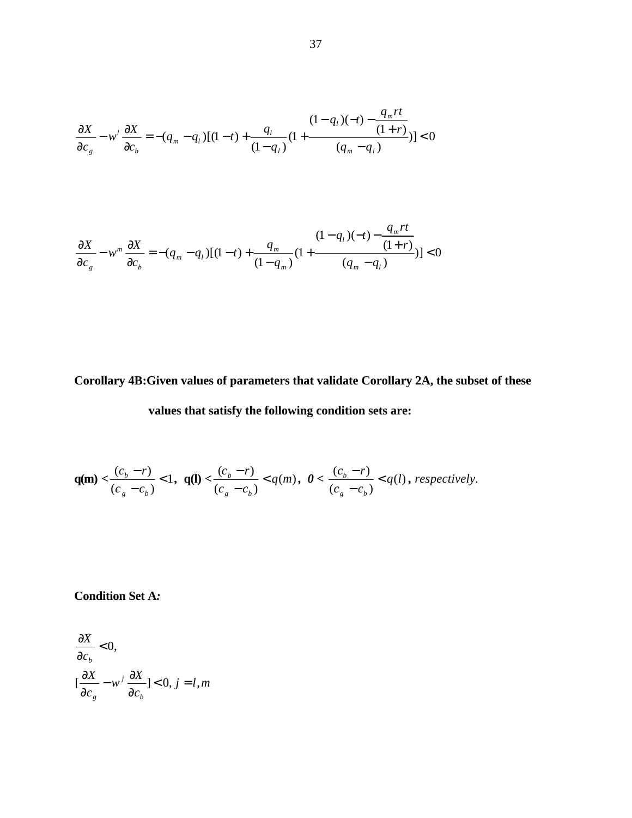$$
\frac{\partial X}{\partial c_g} - w^l \frac{\partial X}{\partial c_b} = -(q_m - q_l)[(1-t) + \frac{q_l}{(1-q_l)}(1 + \frac{(1-q_l)(-t) - \frac{q_m rt}{(1+r)}}{(q_m - q_l)})] < 0
$$

$$
\frac{\partial X}{\partial c_g} - w^m \frac{\partial X}{\partial c_b} = -(q_m - q_l)[(1-t) + \frac{q_m}{(1-q_m)}(1 + \frac{(1-q_l)(-t) - \frac{q_m rt}{(1+r)}}{(q_m - q_l)})] < 0
$$

# **Corollary 4B:Given values of parameters that validate Corollary 2A, the subset of these**

# **values that satisfy the following condition sets are:**

$$
\mathbf{q(m)} < \frac{(c_b - r)}{(c_g - c_b)} < 1, \ \mathbf{q(l)} < \frac{(c_b - r)}{(c_g - c_b)} < q(m), \ \mathbf{0} < \frac{(c_b - r)}{(c_g - c_b)} < q(l), \ \text{respectively.}
$$

**Condition Set A***:*

$$
\frac{\partial X}{\partial c_b} < 0, \\
\left[\frac{\partial X}{\partial c_g} - w^j \frac{\partial X}{\partial c_b}\right] < 0, j = l, m
$$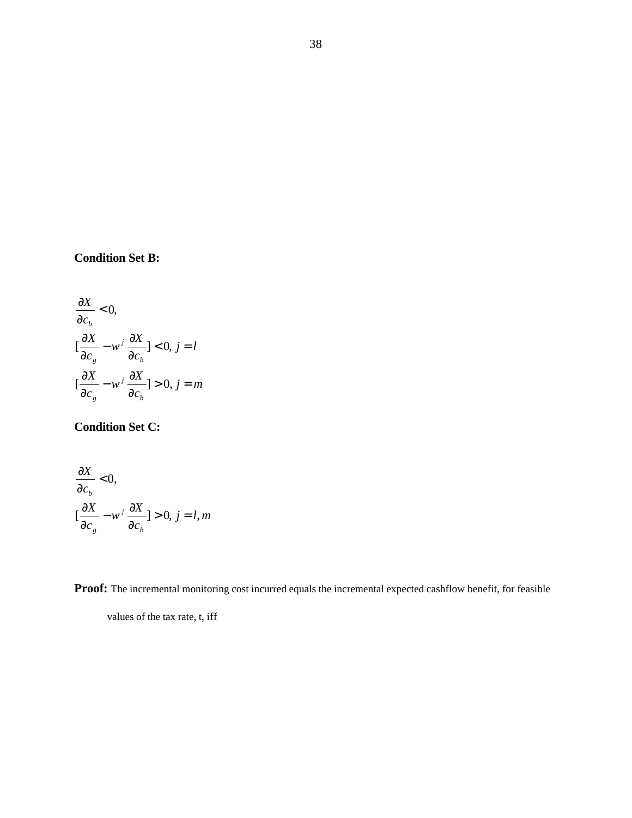# **Condition Set B:**

$$
\frac{\partial X}{\partial c_b} < 0,
$$
\n
$$
[\frac{\partial X}{\partial c_s} - w^j \frac{\partial X}{\partial c_b}] < 0, j = l
$$
\n
$$
[\frac{\partial X}{\partial c_s} - w^j \frac{\partial X}{\partial c_b}] > 0, j = m
$$

# **Condition Set C:**

$$
\frac{\partial X}{\partial c_b} < 0, \\
\left[\frac{\partial X}{\partial c_s} - w^j \frac{\partial X}{\partial c_b}\right] > 0, \ j = l, m
$$

**Proof:** The incremental monitoring cost incurred equals the incremental expected cashflow benefit, for feasible

values of the tax rate, t, iff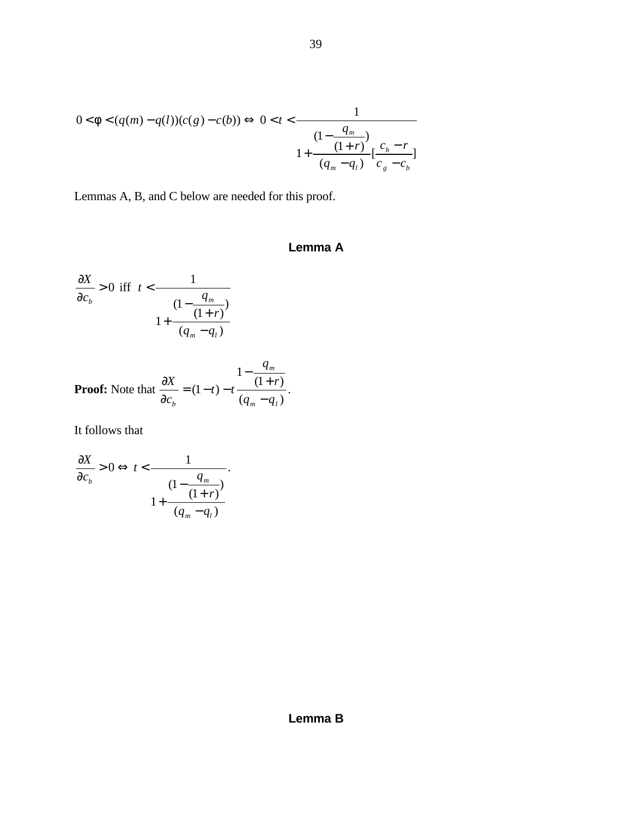$$
0 < f < (q(m) - q(l))(c(g) - c(b)) \Leftrightarrow 0 < t < \frac{1}{\left(1 - \frac{q_m}{(1+r)}\right)} \left[\frac{c_b - r}{q_m - q_l}\right] \left[\frac{c_b - r}{c_g - c_b}\right]
$$

Lemmas A, B, and C below are needed for this proof.

# **Lemma A**

$$
\frac{\partial X}{\partial c_b} > 0 \text{ iff } t < \frac{1}{\frac{(1 - \frac{q_m}{(1+r)})}{1 + \frac{(q_m - q_l)}{q_m - q_l}}}
$$

**Proof:** Note that 
$$
\frac{\partial X}{\partial c_b} = (1-t) - t \frac{1 - \frac{q_m}{(1+r)}}{(q_m - q_l)}.
$$

It follows that

$$
\frac{\partial X}{\partial c_b} > 0 \Leftrightarrow t < \frac{1}{\frac{(1 - \frac{q_m}{(1+r)})}{(q_m - q_l)}}.
$$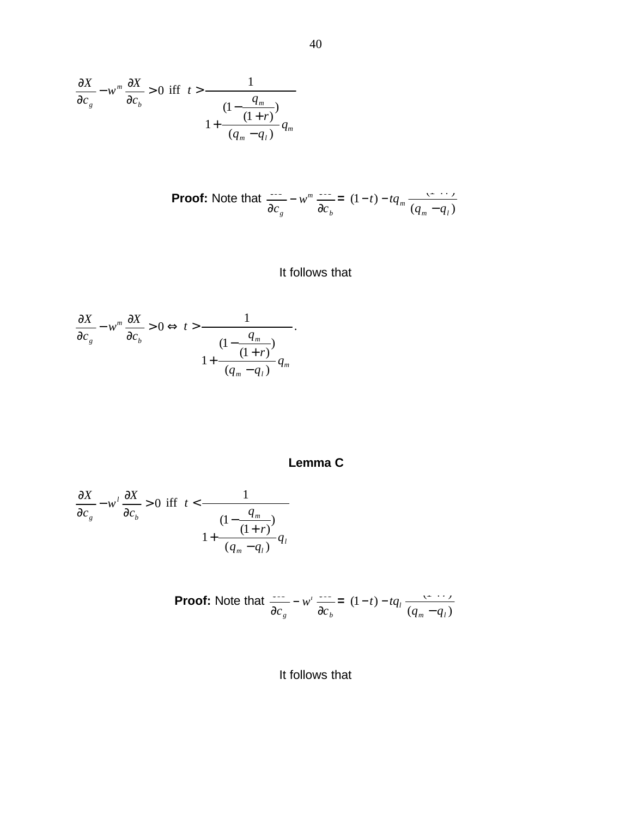$$
\frac{\partial X}{\partial c_g} - w^m \frac{\partial X}{\partial c_b} > 0 \text{ iff } t > \frac{1}{\frac{(1 - \frac{q_m}{(1 + r)})}{(q_m - q_l)}} \frac{1}{q_m}
$$

**Proof:** Note that 
$$
\frac{dS}{dc_g} - w^m \frac{dS}{dc_h} = (1-t) - tq_m \frac{dS}{dc_m - q_l}
$$

# It follows that

$$
\frac{\partial X}{\partial c_s} - w^m \frac{\partial X}{\partial c_b} > 0 \Leftrightarrow t > \frac{1}{\frac{(1 - \frac{q_m}{(1+r)})}{(q_m - q_l)}}.
$$

# **Lemma C**

$$
\frac{\partial X}{\partial c_s} - w^l \frac{\partial X}{\partial c_b} > 0 \text{ iff } t < \frac{1}{\frac{(1 - \frac{q_m}{(1+r)})}{(q_m - q_l)}} \quad \text{if } t \leq \frac{1}{\frac{q_m}{(q_m - q_l)}} \quad \text{if } t \leq \frac{1}{\frac{q_m}{(q_m - q_l)}} \quad \text{if } t \leq \frac{1}{\frac{q_m}{(q_m - q_l)}} \quad \text{if } t \leq \frac{1}{\frac{q_m}{(q_m - q_l)}} \quad \text{if } t \leq \frac{1}{\frac{q_m}{(q_m - q_l)}} \quad \text{if } t \leq \frac{1}{\frac{q_m}{(q_m - q_l)}} \quad \text{if } t \leq \frac{1}{\frac{q_m}{(q_m - q_l)}} \quad \text{if } t \leq \frac{1}{\frac{q_m}{(q_m - q_l)}} \quad \text{if } t \leq \frac{1}{\frac{q_m}{(q_m - q_l)}} \quad \text{if } t \leq \frac{1}{\frac{q_m}{(q_m - q_l)}} \quad \text{if } t \leq \frac{1}{\frac{q_m}{(q_m - q_l)}} \quad \text{if } t \leq \frac{1}{\frac{q_m}{(q_m - q_l)}} \quad \text{if } t \leq \frac{1}{\frac{q_m}{(q_m - q_l)}} \quad \text{if } t \leq \frac{1}{\frac{q_m}{(q_m - q_l)}} \quad \text{if } t \leq \frac{1}{\frac{q_m}{(q_m - q_l)}} \quad \text{if } t \leq \frac{1}{\frac{q_m}{(q_m - q_l)}} \quad \text{if } t \leq \frac{1}{\frac{q_m}{(q_m - q_l)}} \quad \text{if } t \leq \frac{1}{\frac{q_m}{(q_m - q_l)}} \quad \text{if } t \leq \frac{1}{\frac{q_m}{(q_m - q_l)}} \quad \text{if } t \leq \frac{1}{\frac{q_m}{(q_m - q_l)}} \quad \text{if } t \leq \frac{1}{\frac{q_m}{(q_m - q_l)}} \quad \text{if } t \leq \frac{1}{\frac{q_m}{(q_m - q_l)}} \quad \text{if } t \leq \frac{1}{\frac{q_m}{(q_m - q_l)}} \quad \text{if } t \leq \frac{1}{\frac{q_m}{(q_m - q_l)}}
$$

**Proof:** Note that 
$$
\frac{dS}{dr} - w' \frac{dS}{dr} = (1-t) - tq_l \frac{dS}{dr} \frac{dS}{dr} = (1-t) - tq_l \frac{dS}{dr} \frac{dS}{dr}
$$

It follows that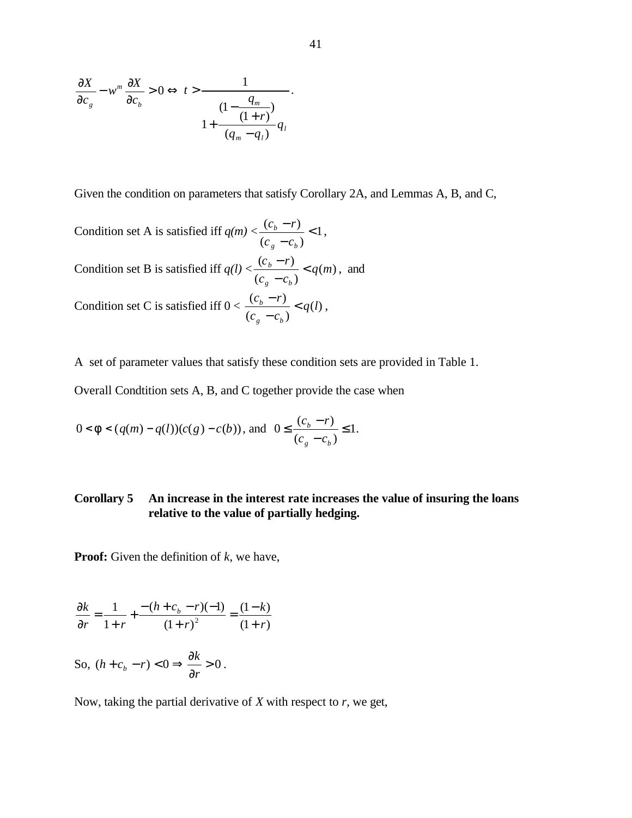$$
\frac{\partial X}{\partial c_g} - w^m \frac{\partial X}{\partial c_b} > 0 \Leftrightarrow t > \frac{1}{\frac{(1 - \frac{q_m}{(1+r)})}{(q_m - q_l)}}.
$$

Given the condition on parameters that satisfy Corollary 2A, and Lemmas A, B, and C,

Condition set A is satisfied iff  $q(m) < \frac{(c_b - 1)}{2} < 1$  $(c_a - c_b)$  $\frac{(c_b-r)}{r}$ − −  $g = b$ *b*  $c_{\alpha} - c$  $\frac{c_b - r}{r}$  < 1, Condition set B is satisfied iff  $q(l) < \frac{(c_b - l')}{l} < q(m)$  $(c_a - c_b)$  $\frac{(c_b - r)}{r} < q(m)$  $c_{\alpha} - c$  $c<sub>h</sub> - r$  $g<sup>a</sup>$  $\frac{b}{c}$  / /  $\leq$ −  $\frac{-r}{q}$  < q(m), and Condition set C is satisfied iff  $0 < \frac{c_b - r_f}{r} < q(l)$  $(c_a - c_b)$  $\frac{(c_b - r)}{q} < q$  $c_{\alpha} - c$  $c<sub>h</sub> - r$  $g^{\mu}$   $\mathbf{c}_b$  $\frac{b}{c}$   $\frac{f}{c}$  < −  $\frac{-r}{q}$  < q(l),

A set of parameter values that satisfy these condition sets are provided in Table 1.

Overall Condtition sets A, B, and C together provide the case when

$$
0 < f < (q(m) - q(l))(c(g) - c(b)), \text{ and } 0 \le \frac{(c_b - r)}{(c_g - c_b)} \le 1.
$$

# **Corollary 5 An increase in the interest rate increases the value of insuring the loans relative to the value of partially hedging.**

**Proof:** Given the definition of *k*, we have,

$$
\frac{\partial k}{\partial r} = \frac{1}{1+r} + \frac{-(h+c_b-r)(-1)}{(1+r)^2} = \frac{(1-k)}{(1+r)}
$$

So, 
$$
(h + c_b - r) < 0 \Rightarrow \frac{\partial k}{\partial r} > 0
$$
.

Now, taking the partial derivative of *X* with respect to *r*, we get,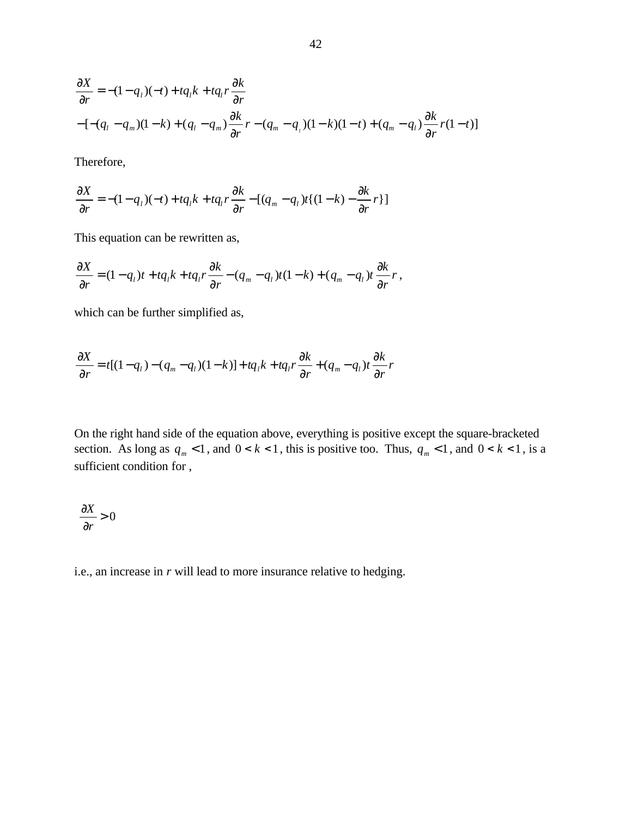$$
\frac{\partial X}{\partial r} = -(1 - q_l)(-t) + tq_l k + tq_l r \frac{\partial k}{\partial r}
$$
  
-
$$
[-(q_l - q_m)(1 - k) + (q_l - q_m) \frac{\partial k}{\partial r} r - (q_m - q_l)(1 - k)(1 - t) + (q_m - q_l) \frac{\partial k}{\partial r} r(1 - t)]
$$

Therefore,

$$
\frac{\partial X}{\partial r} = -(1 - q_1)(-t) + tq_1 k + tq_1 r \frac{\partial k}{\partial r} - [(q_m - q_1)t((1 - k) - \frac{\partial k}{\partial r}r)]
$$

This equation can be rewritten as,

$$
\frac{\partial X}{\partial r} = (1 - q_1)t + tq_1k + tq_1r\frac{\partial k}{\partial r} - (q_m - q_1)t(1 - k) + (q_m - q_1)t\frac{\partial k}{\partial r}r,
$$

which can be further simplified as,

$$
\frac{\partial X}{\partial r} = t[(1-q_1)-(q_m-q_1)(1-k)] + tq_1k + tq_1r\frac{\partial k}{\partial r} + (q_m-q_1)t\frac{\partial k}{\partial r}r
$$

On the right hand side of the equation above, everything is positive except the square-bracketed section. As long as  $q_m < 1$ , and  $0 < k < 1$ , this is positive too. Thus,  $q_m < 1$ , and  $0 < k < 1$ , is a sufficient condition for ,

$$
\frac{\partial X}{\partial r} > 0
$$

i.e., an increase in *r* will lead to more insurance relative to hedging.